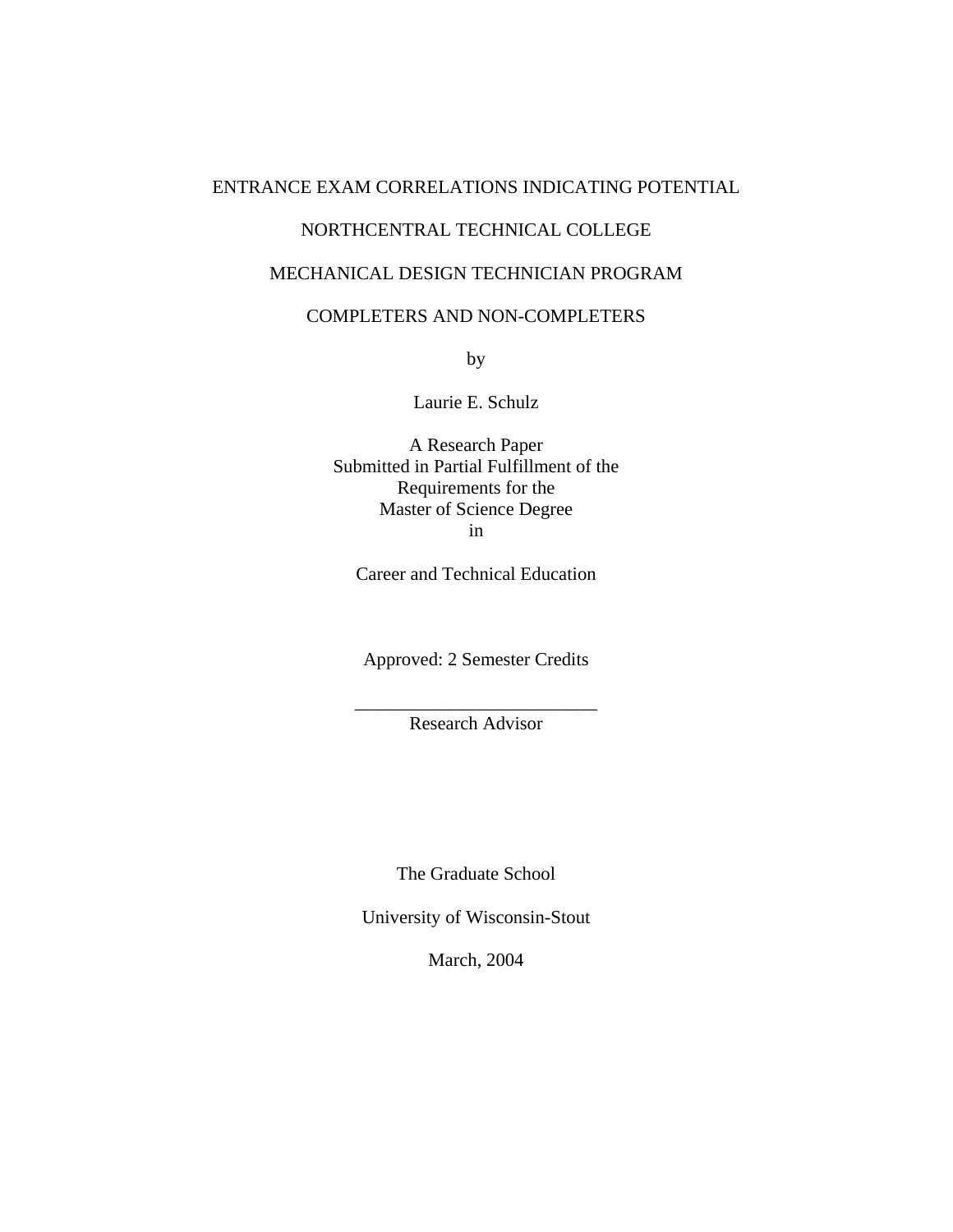# ENTRANCE EXAM CORRELATIONS INDICATING POTENTIAL

# NORTHCENTRAL TECHNICAL COLLEGE

# MECHANICAL DESIGN TECHNICIAN PROGRAM

# COMPLETERS AND NON-COMPLETERS

by

Laurie E. Schulz

A Research Paper Submitted in Partial Fulfillment of the Requirements for the Master of Science Degree in

Career and Technical Education

Approved: 2 Semester Credits

\_\_\_\_\_\_\_\_\_\_\_\_\_\_\_\_\_\_\_\_\_\_\_\_\_\_ Research Advisor

The Graduate School

University of Wisconsin-Stout

March, 2004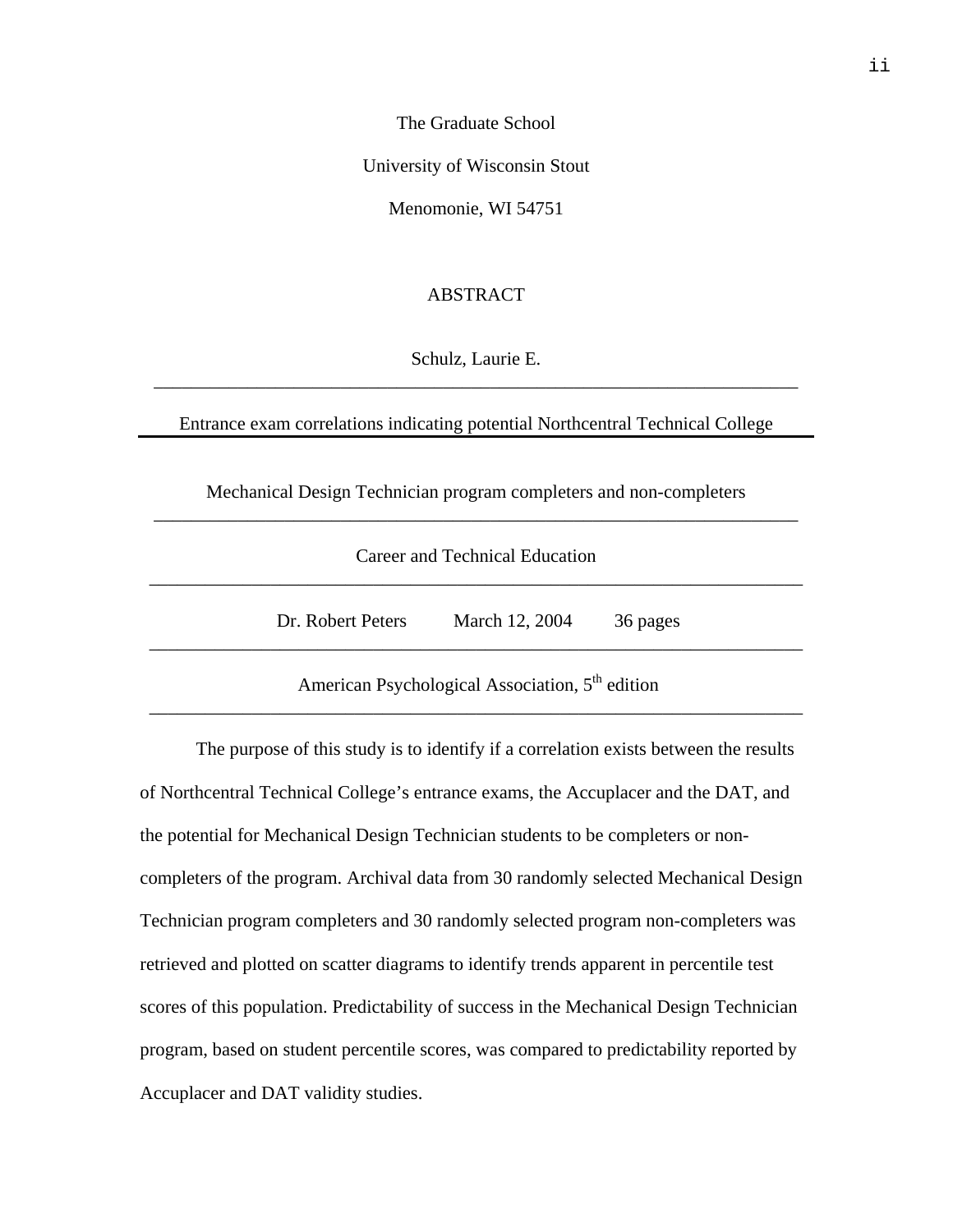The Graduate School

University of Wisconsin Stout

Menomonie, WI 54751

# ABSTRACT

Schulz, Laurie E. \_\_\_\_\_\_\_\_\_\_\_\_\_\_\_\_\_\_\_\_\_\_\_\_\_\_\_\_\_\_\_\_\_\_\_\_\_\_\_\_\_\_\_\_\_\_\_\_\_\_\_\_\_\_\_\_\_\_\_\_\_\_\_\_\_\_\_\_\_

Entrance exam correlations indicating potential Northcentral Technical College

Mechanical Design Technician program completers and non-completers \_\_\_\_\_\_\_\_\_\_\_\_\_\_\_\_\_\_\_\_\_\_\_\_\_\_\_\_\_\_\_\_\_\_\_\_\_\_\_\_\_\_\_\_\_\_\_\_\_\_\_\_\_\_\_\_\_\_\_\_\_\_\_\_\_\_\_\_\_

| Career and Technical Education |
|--------------------------------|
|                                |

Dr. Robert Peters March 12, 2004 36 pages

American Psychological Association,  $5<sup>th</sup>$  edition \_\_\_\_\_\_\_\_\_\_\_\_\_\_\_\_\_\_\_\_\_\_\_\_\_\_\_\_\_\_\_\_\_\_\_\_\_\_\_\_\_\_\_\_\_\_\_\_\_\_\_\_\_\_\_\_\_\_\_\_\_\_\_\_\_\_\_\_\_\_

\_\_\_\_\_\_\_\_\_\_\_\_\_\_\_\_\_\_\_\_\_\_\_\_\_\_\_\_\_\_\_\_\_\_\_\_\_\_\_\_\_\_\_\_\_\_\_\_\_\_\_\_\_\_\_\_\_\_\_\_\_\_\_\_\_\_\_\_\_\_

The purpose of this study is to identify if a correlation exists between the results of Northcentral Technical College's entrance exams, the Accuplacer and the DAT, and the potential for Mechanical Design Technician students to be completers or noncompleters of the program. Archival data from 30 randomly selected Mechanical Design Technician program completers and 30 randomly selected program non-completers was retrieved and plotted on scatter diagrams to identify trends apparent in percentile test scores of this population. Predictability of success in the Mechanical Design Technician program, based on student percentile scores, was compared to predictability reported by Accuplacer and DAT validity studies.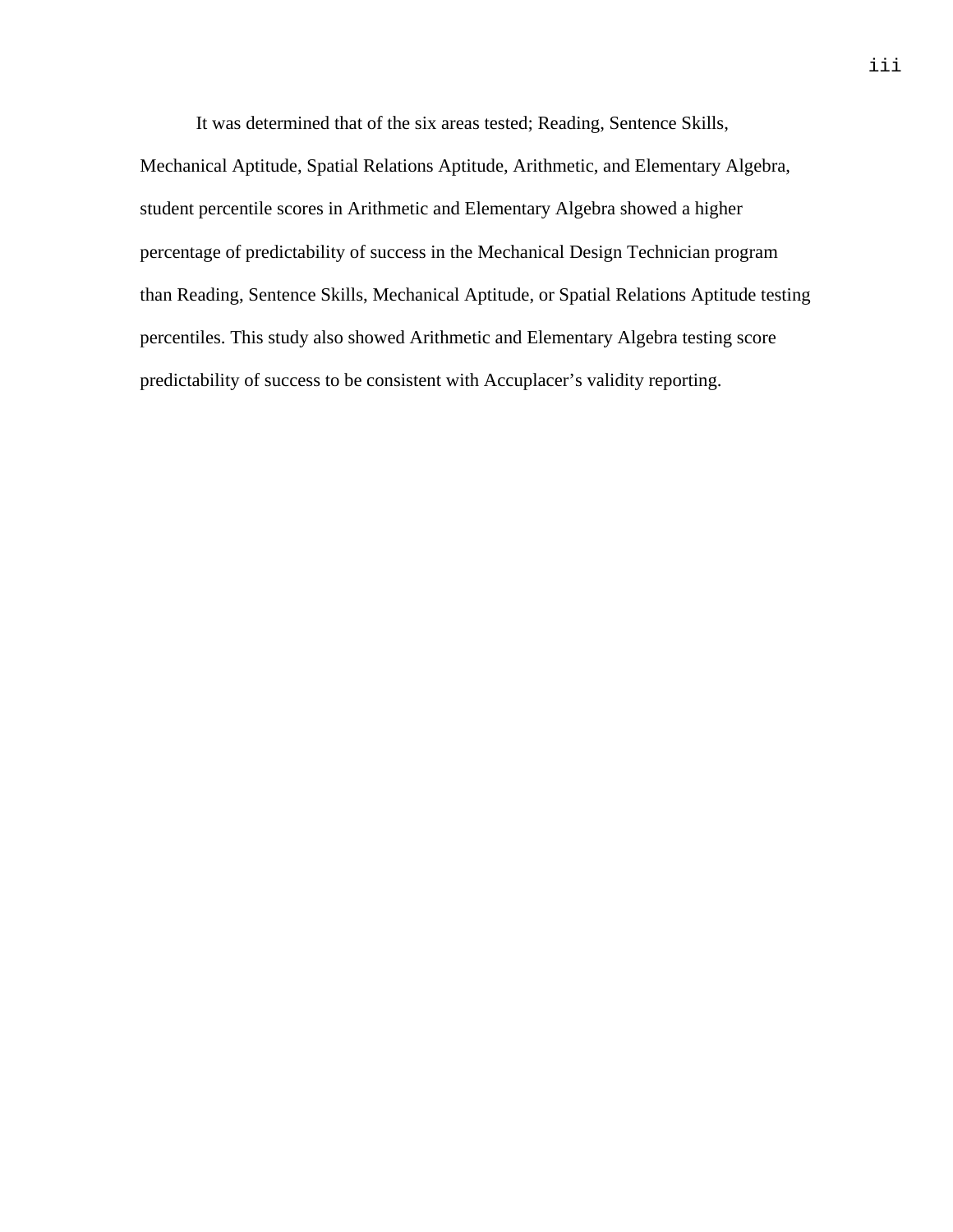It was determined that of the six areas tested; Reading, Sentence Skills,

Mechanical Aptitude, Spatial Relations Aptitude, Arithmetic, and Elementary Algebra, student percentile scores in Arithmetic and Elementary Algebra showed a higher percentage of predictability of success in the Mechanical Design Technician program than Reading, Sentence Skills, Mechanical Aptitude, or Spatial Relations Aptitude testing percentiles. This study also showed Arithmetic and Elementary Algebra testing score predictability of success to be consistent with Accuplacer's validity reporting.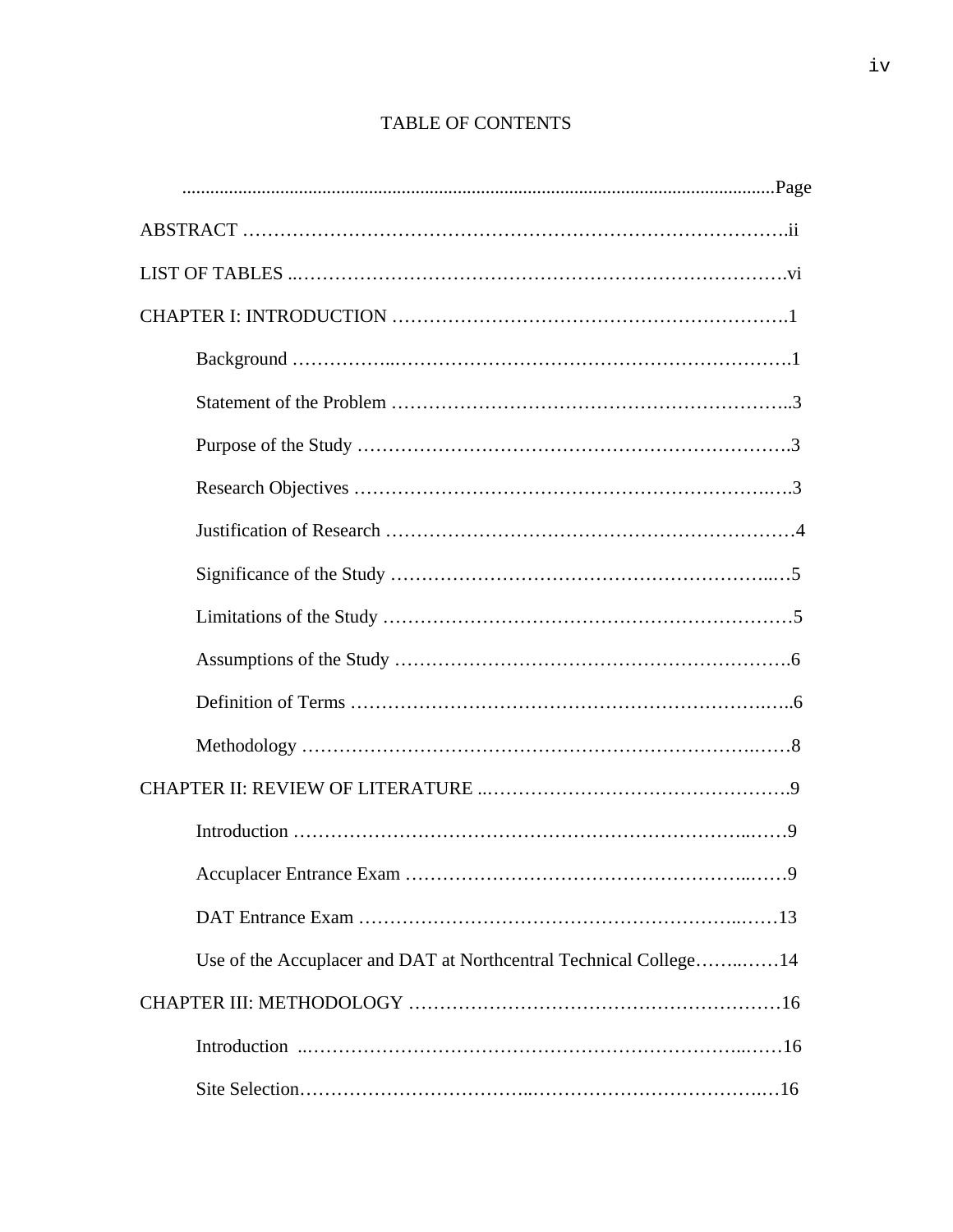| Use of the Accuplacer and DAT at Northcentral Technical College14 |
|-------------------------------------------------------------------|
|                                                                   |
|                                                                   |
|                                                                   |

# TABLE OF CONTENTS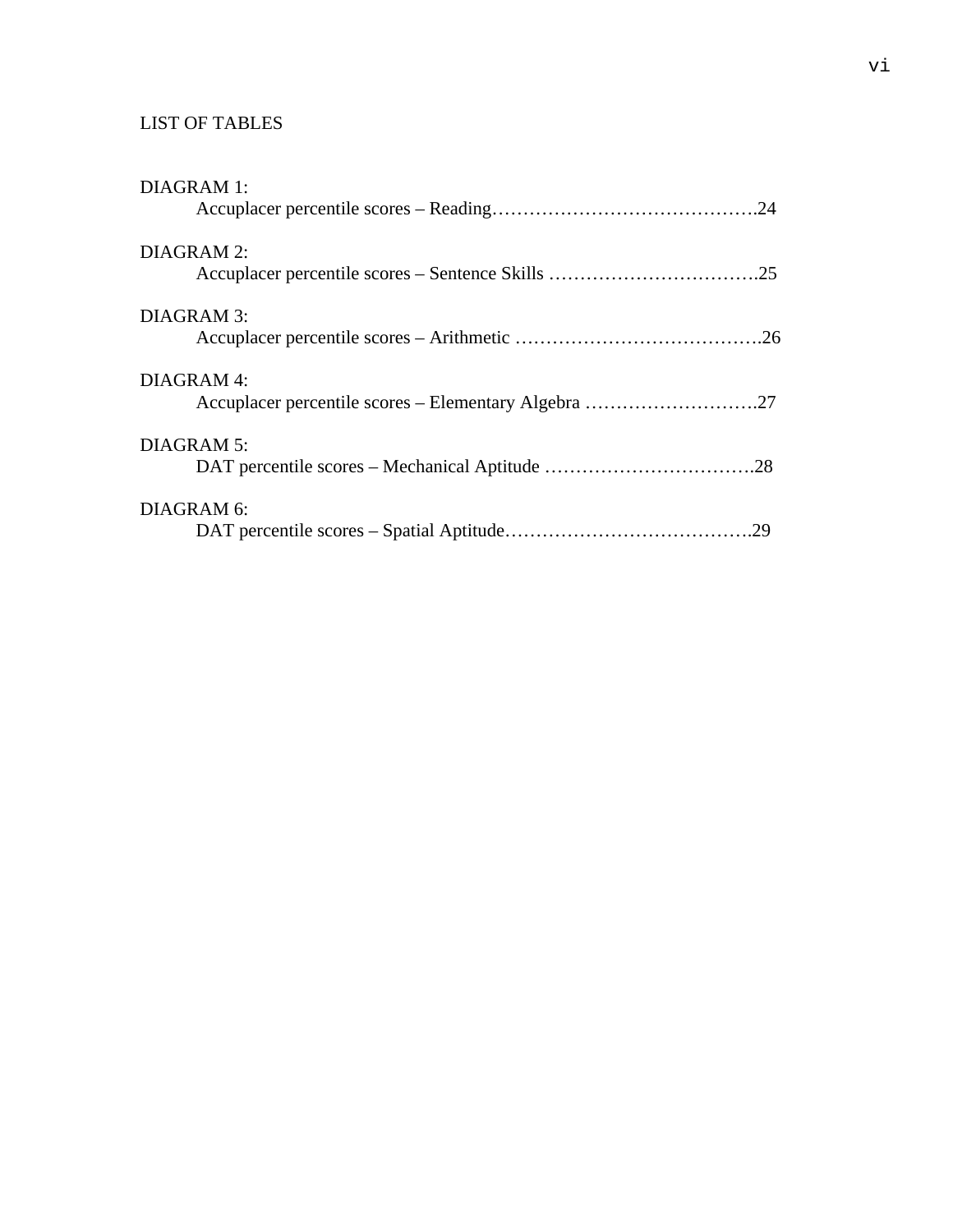# LIST OF TABLES

| <b>DIAGRAM 1:</b> |  |
|-------------------|--|
| <b>DIAGRAM 2:</b> |  |
| DIAGRAM 3:        |  |
| DIAGRAM 4:        |  |
| <b>DIAGRAM 5:</b> |  |
|                   |  |
| DIAGRAM 6:        |  |
|                   |  |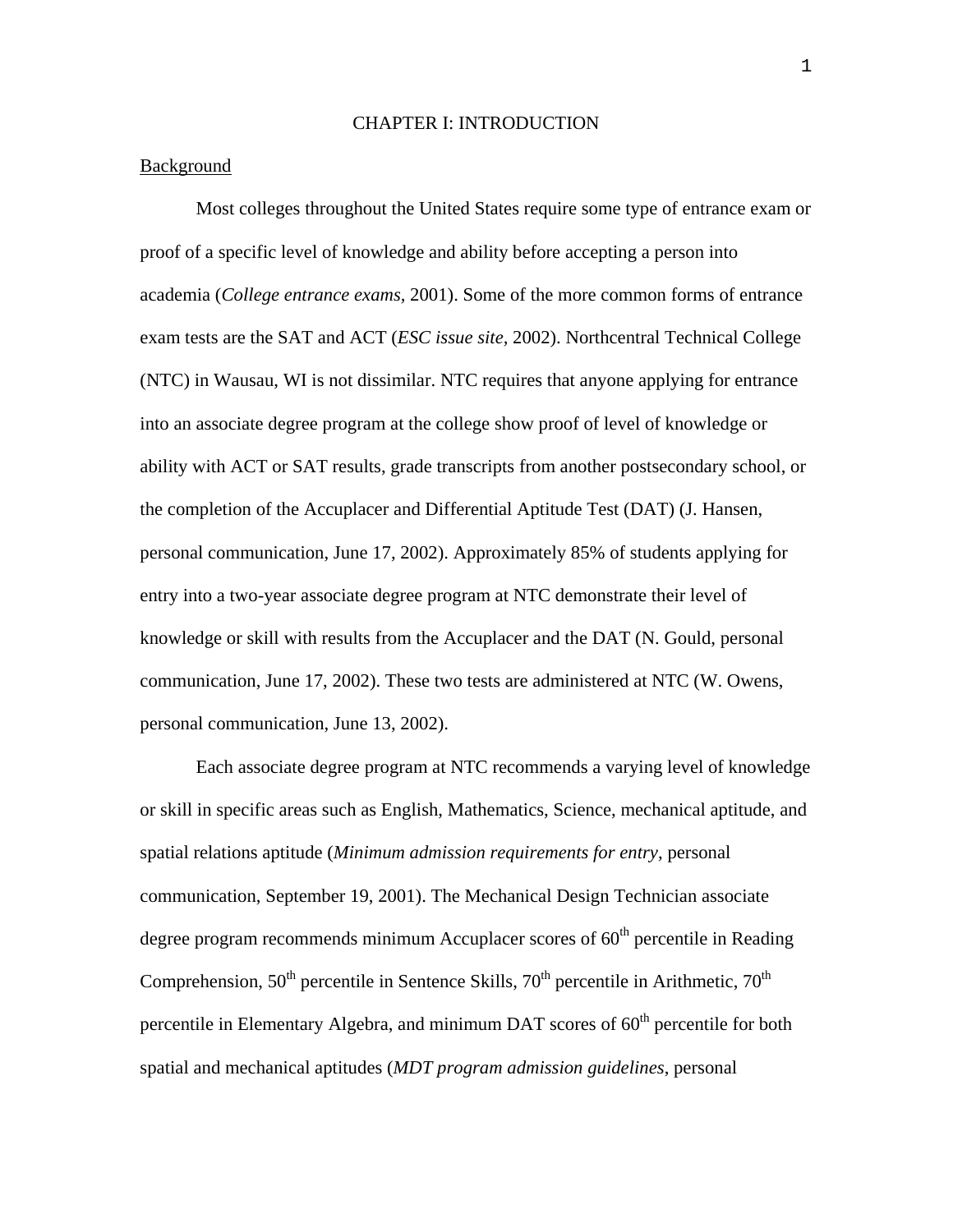#### CHAPTER I: INTRODUCTION

# Background

Most colleges throughout the United States require some type of entrance exam or proof of a specific level of knowledge and ability before accepting a person into academia (*College entrance exams,* 2001). Some of the more common forms of entrance exam tests are the SAT and ACT (*ESC issue site,* 2002). Northcentral Technical College (NTC) in Wausau, WI is not dissimilar. NTC requires that anyone applying for entrance into an associate degree program at the college show proof of level of knowledge or ability with ACT or SAT results, grade transcripts from another postsecondary school, or the completion of the Accuplacer and Differential Aptitude Test (DAT) (J. Hansen, personal communication, June 17, 2002). Approximately 85% of students applying for entry into a two-year associate degree program at NTC demonstrate their level of knowledge or skill with results from the Accuplacer and the DAT (N. Gould, personal communication, June 17, 2002). These two tests are administered at NTC (W. Owens, personal communication, June 13, 2002).

Each associate degree program at NTC recommends a varying level of knowledge or skill in specific areas such as English, Mathematics, Science, mechanical aptitude, and spatial relations aptitude (*Minimum admission requirements for entry*, personal communication, September 19, 2001). The Mechanical Design Technician associate degree program recommends minimum Accuplacer scores of  $60<sup>th</sup>$  percentile in Reading Comprehension,  $50<sup>th</sup>$  percentile in Sentence Skills,  $70<sup>th</sup>$  percentile in Arithmetic,  $70<sup>th</sup>$ percentile in Elementary Algebra, and minimum DAT scores of  $60<sup>th</sup>$  percentile for both spatial and mechanical aptitudes (*MDT program admission guidelines*, personal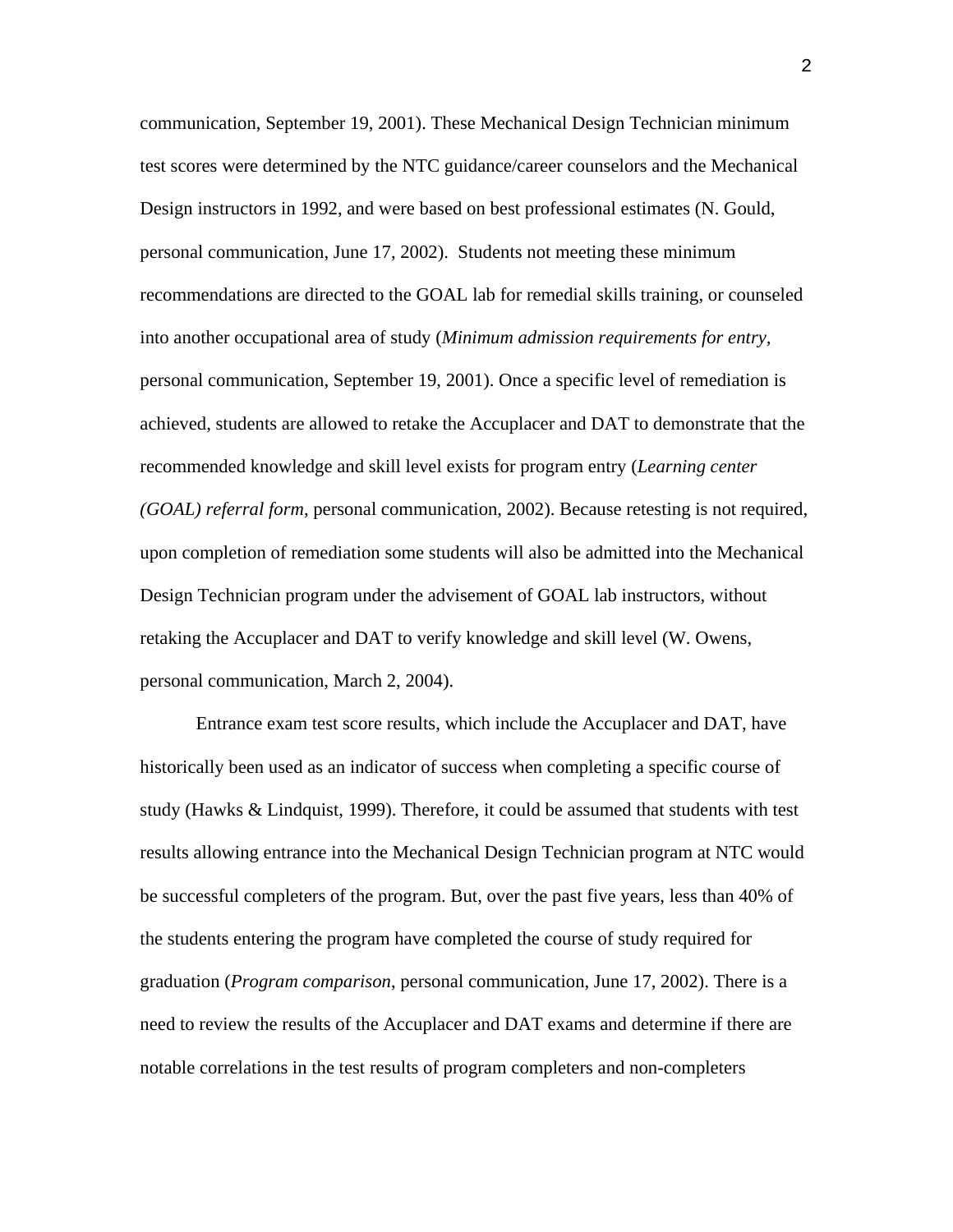communication, September 19, 2001). These Mechanical Design Technician minimum test scores were determined by the NTC guidance/career counselors and the Mechanical Design instructors in 1992, and were based on best professional estimates (N. Gould, personal communication, June 17, 2002). Students not meeting these minimum recommendations are directed to the GOAL lab for remedial skills training, or counseled into another occupational area of study (*Minimum admission requirements for entry,*  personal communication, September 19, 2001). Once a specific level of remediation is achieved, students are allowed to retake the Accuplacer and DAT to demonstrate that the recommended knowledge and skill level exists for program entry (*Learning center (GOAL) referral form*, personal communication, 2002). Because retesting is not required, upon completion of remediation some students will also be admitted into the Mechanical Design Technician program under the advisement of GOAL lab instructors, without retaking the Accuplacer and DAT to verify knowledge and skill level (W. Owens, personal communication, March 2, 2004).

Entrance exam test score results, which include the Accuplacer and DAT, have historically been used as an indicator of success when completing a specific course of study (Hawks & Lindquist, 1999). Therefore, it could be assumed that students with test results allowing entrance into the Mechanical Design Technician program at NTC would be successful completers of the program. But, over the past five years, less than 40% of the students entering the program have completed the course of study required for graduation (*Program comparison*, personal communication, June 17, 2002). There is a need to review the results of the Accuplacer and DAT exams and determine if there are notable correlations in the test results of program completers and non-completers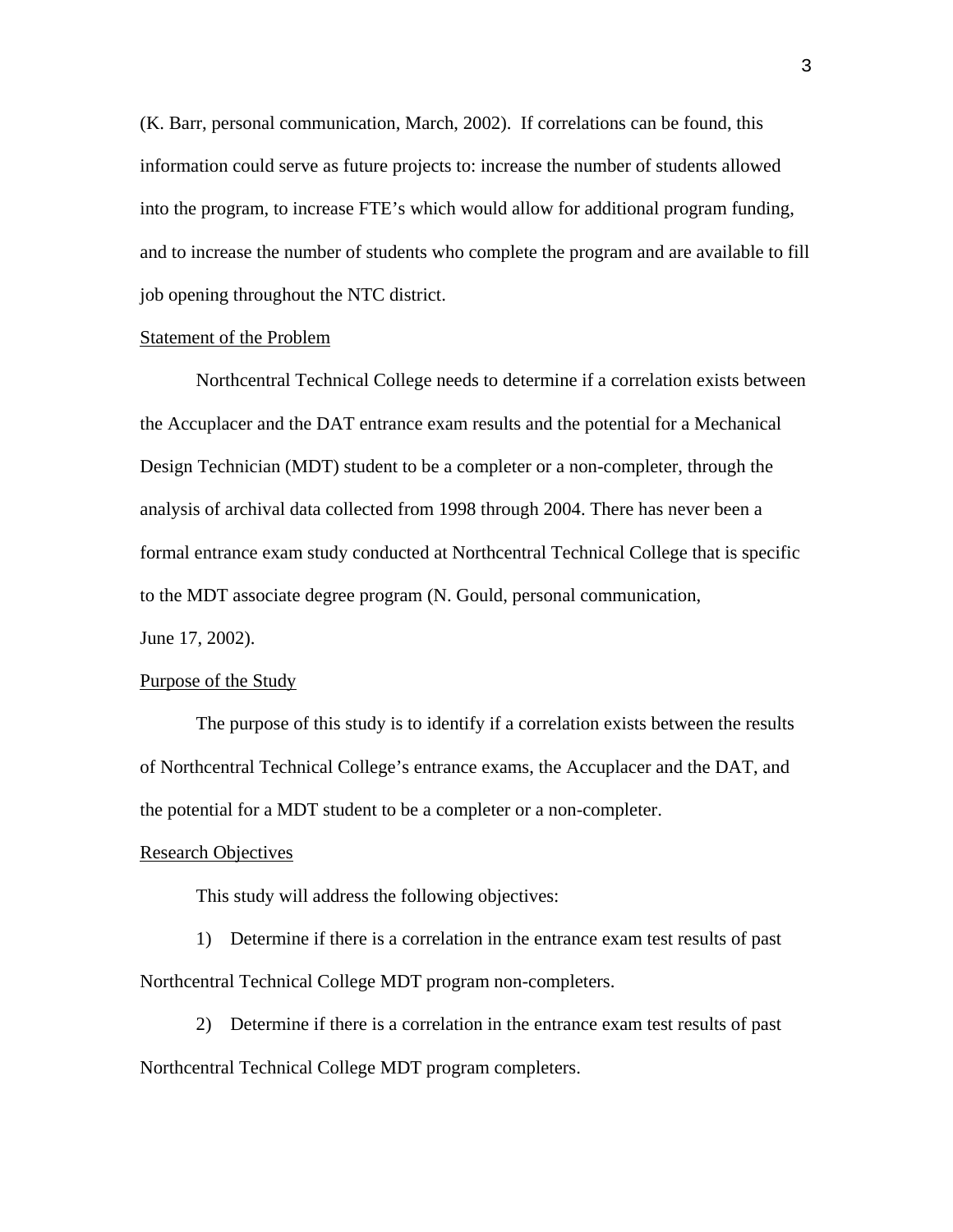(K. Barr, personal communication, March, 2002). If correlations can be found, this information could serve as future projects to: increase the number of students allowed into the program, to increase FTE's which would allow for additional program funding, and to increase the number of students who complete the program and are available to fill job opening throughout the NTC district.

## Statement of the Problem

Northcentral Technical College needs to determine if a correlation exists between the Accuplacer and the DAT entrance exam results and the potential for a Mechanical Design Technician (MDT) student to be a completer or a non-completer, through the analysis of archival data collected from 1998 through 2004. There has never been a formal entrance exam study conducted at Northcentral Technical College that is specific to the MDT associate degree program (N. Gould, personal communication, June 17, 2002).

#### Purpose of the Study

The purpose of this study is to identify if a correlation exists between the results of Northcentral Technical College's entrance exams, the Accuplacer and the DAT, and the potential for a MDT student to be a completer or a non-completer.

#### Research Objectives

This study will address the following objectives:

1) Determine if there is a correlation in the entrance exam test results of past Northcentral Technical College MDT program non-completers.

2) Determine if there is a correlation in the entrance exam test results of past Northcentral Technical College MDT program completers.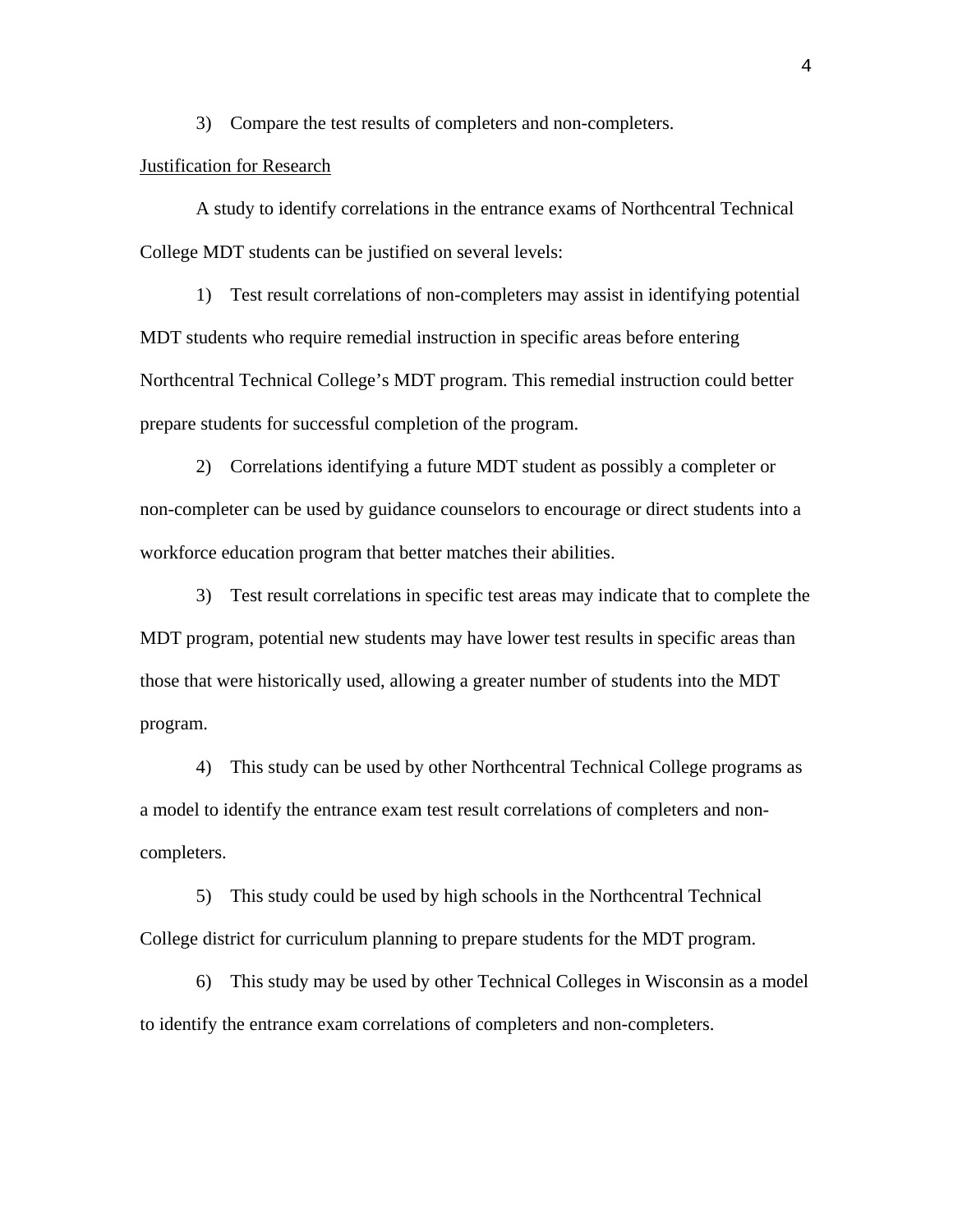3) Compare the test results of completers and non-completers.

#### Justification for Research

A study to identify correlations in the entrance exams of Northcentral Technical College MDT students can be justified on several levels:

1) Test result correlations of non-completers may assist in identifying potential MDT students who require remedial instruction in specific areas before entering Northcentral Technical College's MDT program. This remedial instruction could better prepare students for successful completion of the program.

2) Correlations identifying a future MDT student as possibly a completer or non-completer can be used by guidance counselors to encourage or direct students into a workforce education program that better matches their abilities.

3) Test result correlations in specific test areas may indicate that to complete the MDT program, potential new students may have lower test results in specific areas than those that were historically used, allowing a greater number of students into the MDT program.

4) This study can be used by other Northcentral Technical College programs as a model to identify the entrance exam test result correlations of completers and noncompleters.

5) This study could be used by high schools in the Northcentral Technical College district for curriculum planning to prepare students for the MDT program.

6) This study may be used by other Technical Colleges in Wisconsin as a model to identify the entrance exam correlations of completers and non-completers.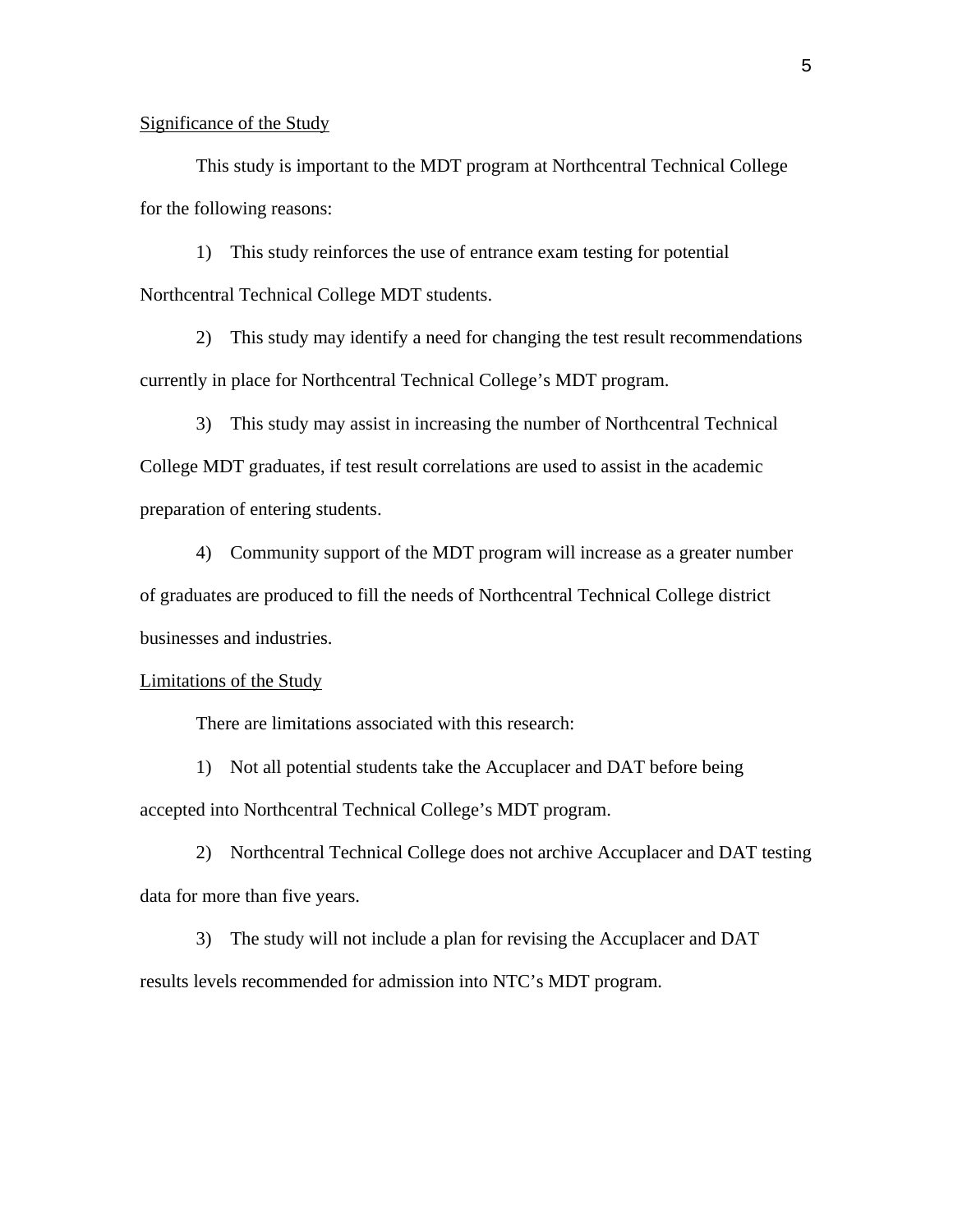## Significance of the Study

This study is important to the MDT program at Northcentral Technical College for the following reasons:

1) This study reinforces the use of entrance exam testing for potential Northcentral Technical College MDT students.

2) This study may identify a need for changing the test result recommendations currently in place for Northcentral Technical College's MDT program.

3) This study may assist in increasing the number of Northcentral Technical College MDT graduates, if test result correlations are used to assist in the academic preparation of entering students.

4) Community support of the MDT program will increase as a greater number of graduates are produced to fill the needs of Northcentral Technical College district businesses and industries.

#### Limitations of the Study

There are limitations associated with this research:

1) Not all potential students take the Accuplacer and DAT before being accepted into Northcentral Technical College's MDT program.

2) Northcentral Technical College does not archive Accuplacer and DAT testing data for more than five years.

3) The study will not include a plan for revising the Accuplacer and DAT results levels recommended for admission into NTC's MDT program.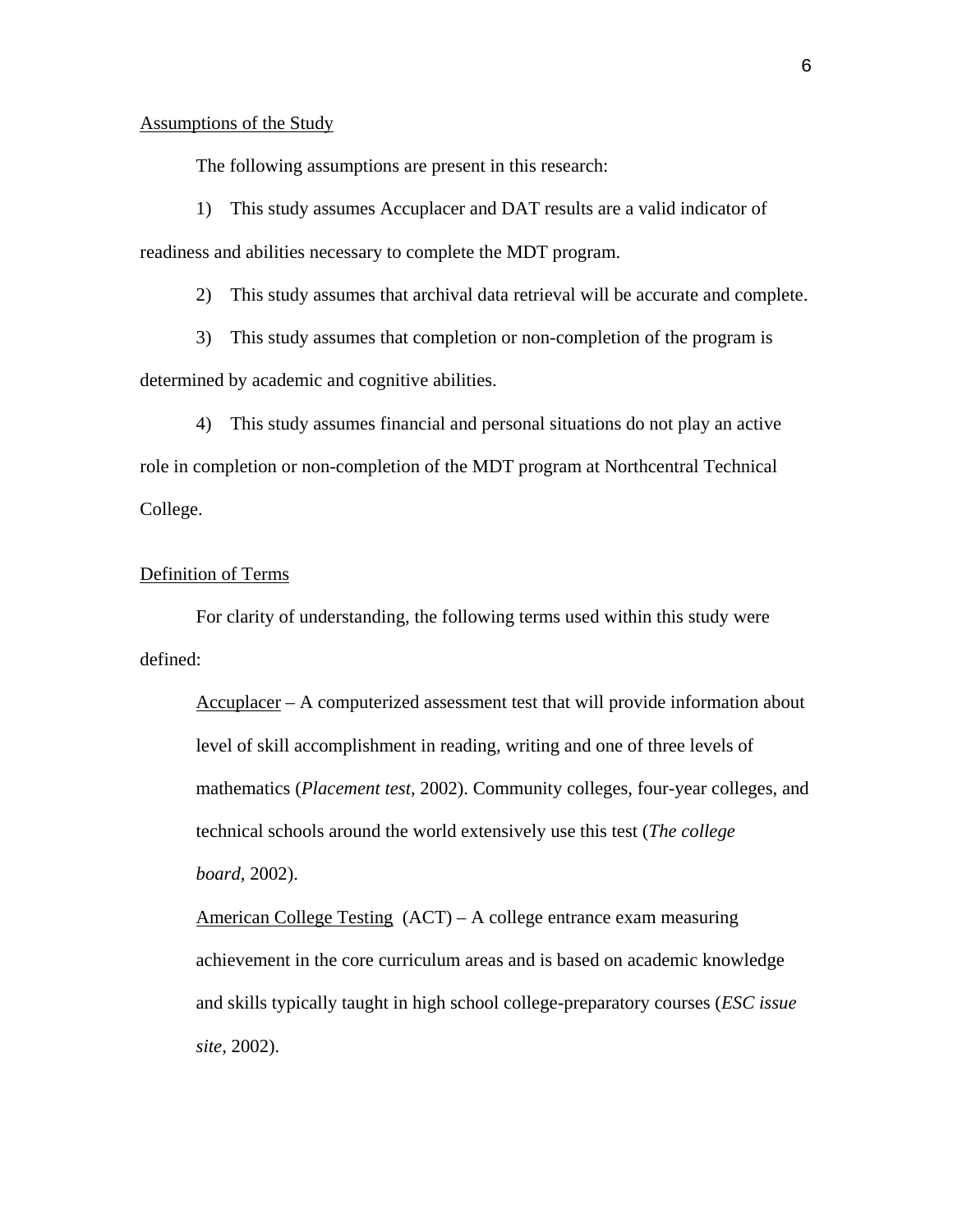## Assumptions of the Study

The following assumptions are present in this research:

1) This study assumes Accuplacer and DAT results are a valid indicator of readiness and abilities necessary to complete the MDT program.

2) This study assumes that archival data retrieval will be accurate and complete.

3) This study assumes that completion or non-completion of the program is determined by academic and cognitive abilities.

4) This study assumes financial and personal situations do not play an active role in completion or non-completion of the MDT program at Northcentral Technical College.

# Definition of Terms

For clarity of understanding, the following terms used within this study were defined:

Accuplacer – A computerized assessment test that will provide information about level of skill accomplishment in reading, writing and one of three levels of mathematics (*Placement test,* 2002). Community colleges, four-year colleges, and technical schools around the world extensively use this test (*The college board,* 2002).

American College Testing (ACT) – A college entrance exam measuring achievement in the core curriculum areas and is based on academic knowledge and skills typically taught in high school college-preparatory courses (*ESC issue site,* 2002).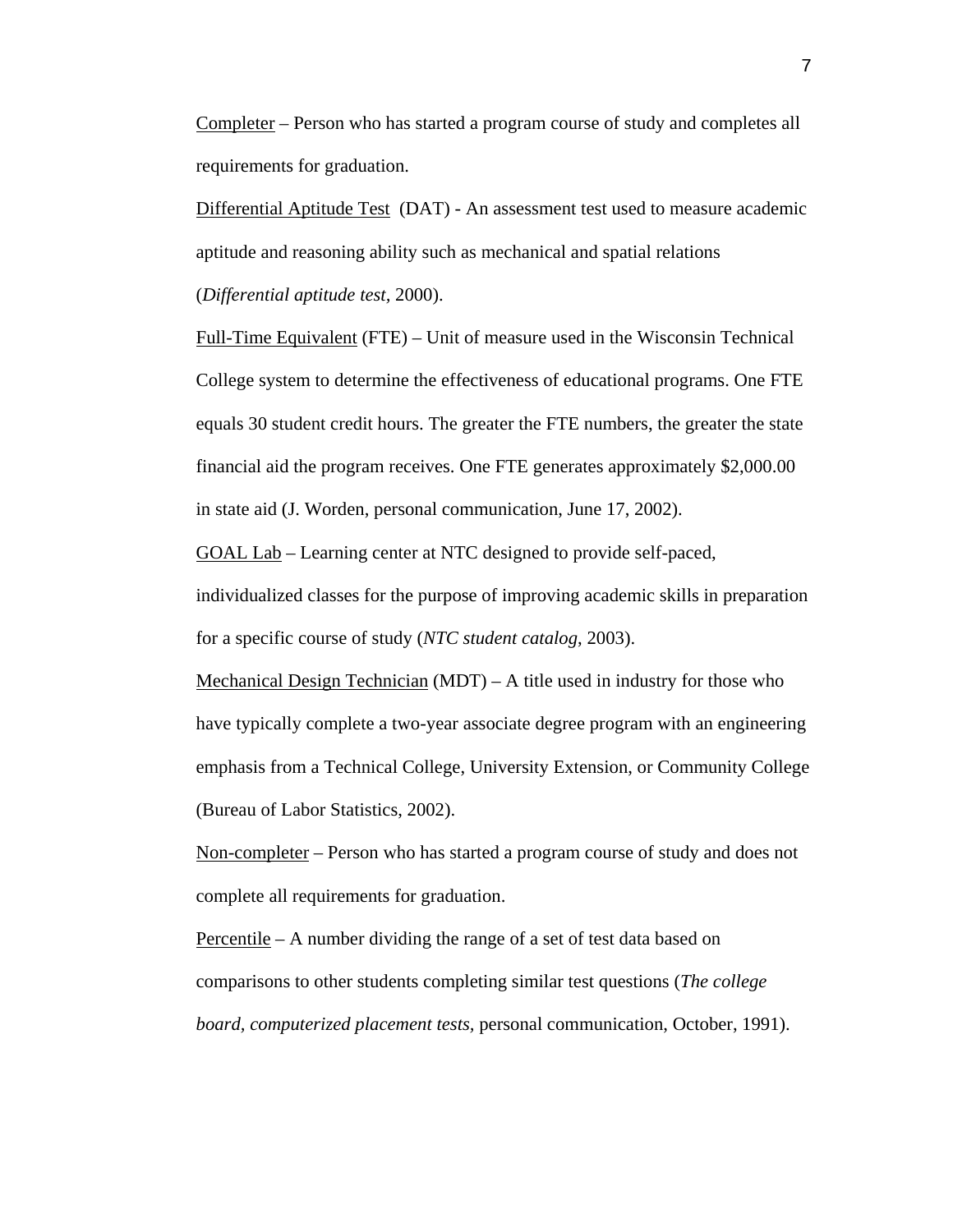Completer – Person who has started a program course of study and completes all requirements for graduation.

Differential Aptitude Test (DAT) - An assessment test used to measure academic aptitude and reasoning ability such as mechanical and spatial relations (*Differential aptitude test,* 2000).

Full-Time Equivalent (FTE) – Unit of measure used in the Wisconsin Technical College system to determine the effectiveness of educational programs. One FTE equals 30 student credit hours. The greater the FTE numbers, the greater the state financial aid the program receives. One FTE generates approximately \$2,000.00 in state aid (J. Worden, personal communication, June 17, 2002).

GOAL Lab – Learning center at NTC designed to provide self-paced, individualized classes for the purpose of improving academic skills in preparation

for a specific course of study (*NTC student catalog*, 2003).

Mechanical Design Technician  $(MDT) - A$  title used in industry for those who have typically complete a two-year associate degree program with an engineering emphasis from a Technical College, University Extension, or Community College (Bureau of Labor Statistics, 2002).

Non-completer – Person who has started a program course of study and does not complete all requirements for graduation.

Percentile – A number dividing the range of a set of test data based on comparisons to other students completing similar test questions (*The college board, computerized placement tests,* personal communication, October, 1991).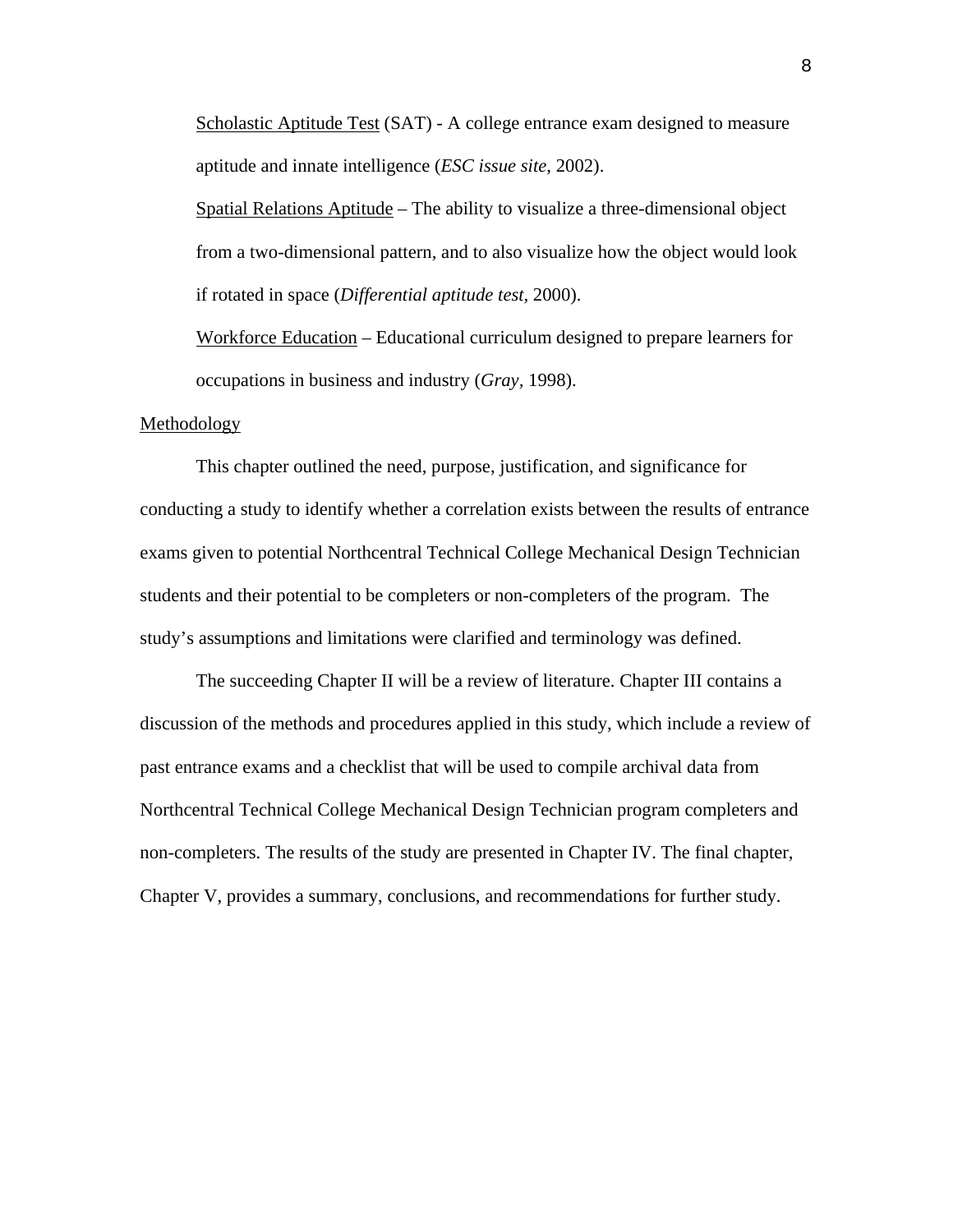Scholastic Aptitude Test (SAT) - A college entrance exam designed to measure aptitude and innate intelligence (*ESC issue site*, 2002).

Spatial Relations Aptitude – The ability to visualize a three-dimensional object from a two-dimensional pattern, and to also visualize how the object would look if rotated in space (*Differential aptitude test,* 2000).

Workforce Education – Educational curriculum designed to prepare learners for occupations in business and industry (*Gray,* 1998).

#### Methodology

This chapter outlined the need, purpose, justification, and significance for conducting a study to identify whether a correlation exists between the results of entrance exams given to potential Northcentral Technical College Mechanical Design Technician students and their potential to be completers or non-completers of the program. The study's assumptions and limitations were clarified and terminology was defined.

The succeeding Chapter II will be a review of literature. Chapter III contains a discussion of the methods and procedures applied in this study, which include a review of past entrance exams and a checklist that will be used to compile archival data from Northcentral Technical College Mechanical Design Technician program completers and non-completers. The results of the study are presented in Chapter IV. The final chapter, Chapter V, provides a summary, conclusions, and recommendations for further study.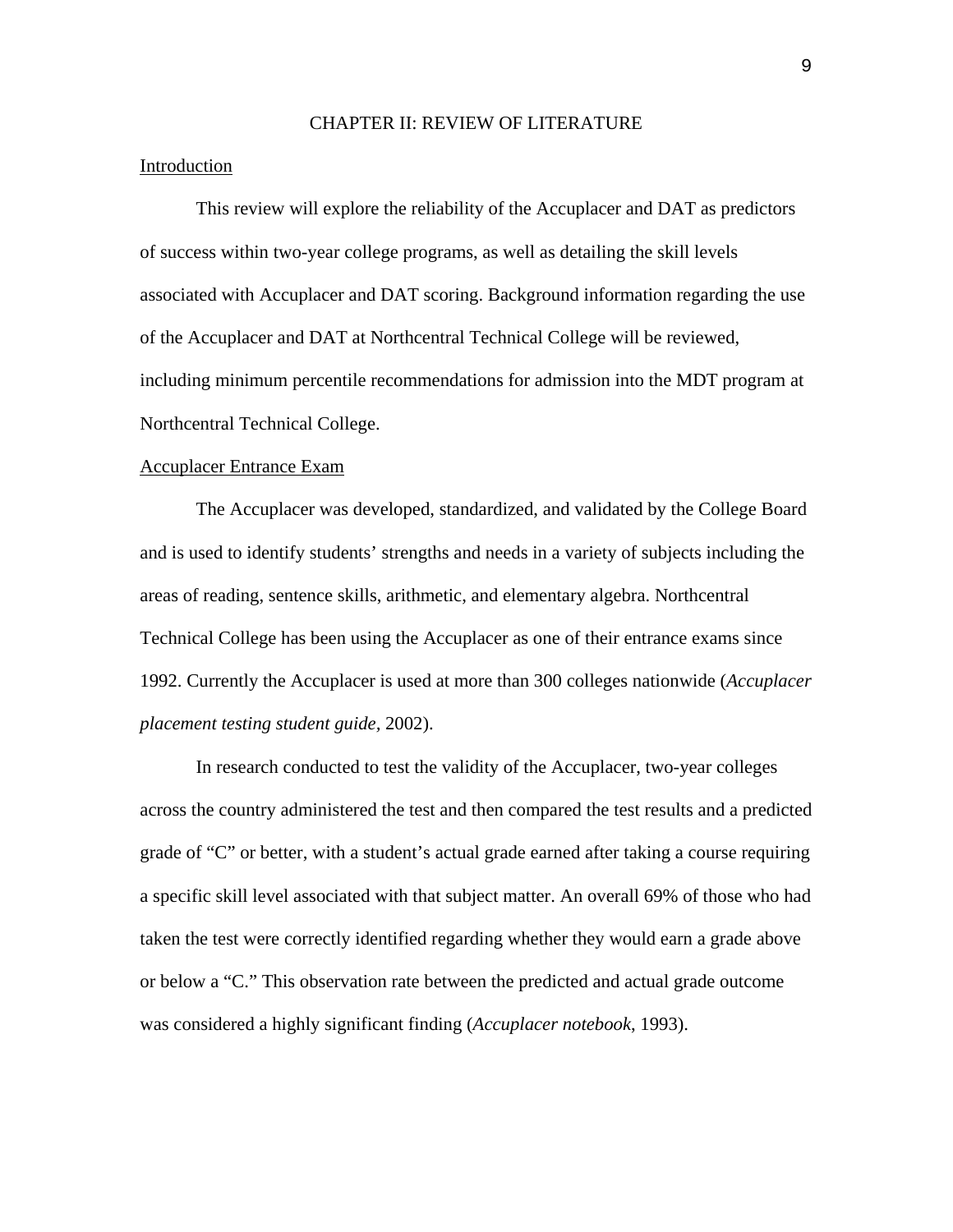#### CHAPTER II: REVIEW OF LITERATURE

### Introduction

This review will explore the reliability of the Accuplacer and DAT as predictors of success within two-year college programs, as well as detailing the skill levels associated with Accuplacer and DAT scoring. Background information regarding the use of the Accuplacer and DAT at Northcentral Technical College will be reviewed, including minimum percentile recommendations for admission into the MDT program at Northcentral Technical College.

#### Accuplacer Entrance Exam

The Accuplacer was developed, standardized, and validated by the College Board and is used to identify students' strengths and needs in a variety of subjects including the areas of reading, sentence skills, arithmetic, and elementary algebra. Northcentral Technical College has been using the Accuplacer as one of their entrance exams since 1992. Currently the Accuplacer is used at more than 300 colleges nationwide (*Accuplacer placement testing student guide,* 2002).

In research conducted to test the validity of the Accuplacer, two-year colleges across the country administered the test and then compared the test results and a predicted grade of "C" or better, with a student's actual grade earned after taking a course requiring a specific skill level associated with that subject matter. An overall 69% of those who had taken the test were correctly identified regarding whether they would earn a grade above or below a "C." This observation rate between the predicted and actual grade outcome was considered a highly significant finding (*Accuplacer notebook*, 1993).

9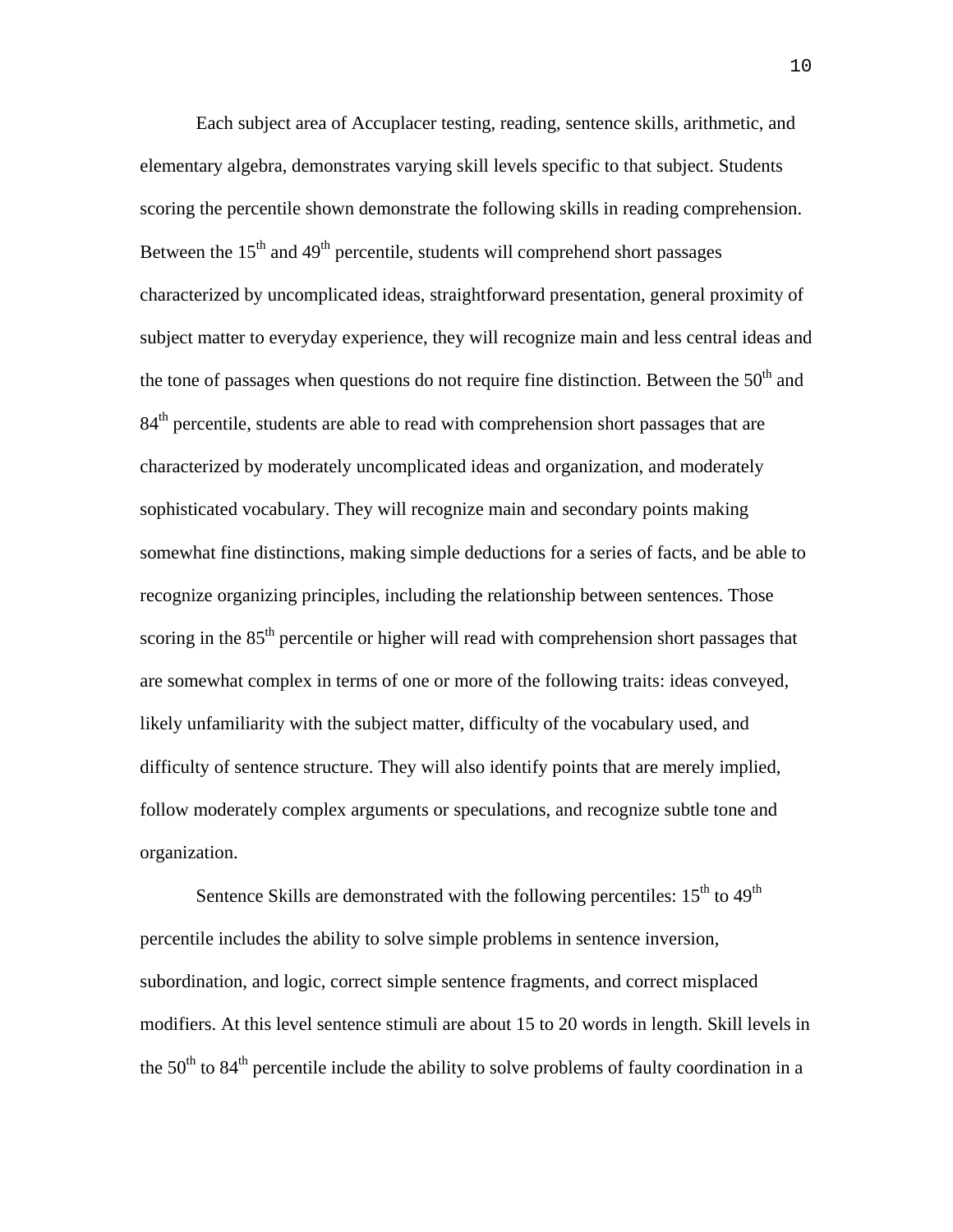Each subject area of Accuplacer testing, reading, sentence skills, arithmetic, and elementary algebra, demonstrates varying skill levels specific to that subject. Students scoring the percentile shown demonstrate the following skills in reading comprehension. Between the  $15<sup>th</sup>$  and  $49<sup>th</sup>$  percentile, students will comprehend short passages characterized by uncomplicated ideas, straightforward presentation, general proximity of subject matter to everyday experience, they will recognize main and less central ideas and the tone of passages when questions do not require fine distinction. Between the  $50<sup>th</sup>$  and  $84<sup>th</sup>$  percentile, students are able to read with comprehension short passages that are characterized by moderately uncomplicated ideas and organization, and moderately sophisticated vocabulary. They will recognize main and secondary points making somewhat fine distinctions, making simple deductions for a series of facts, and be able to recognize organizing principles, including the relationship between sentences. Those scoring in the 85<sup>th</sup> percentile or higher will read with comprehension short passages that are somewhat complex in terms of one or more of the following traits: ideas conveyed, likely unfamiliarity with the subject matter, difficulty of the vocabulary used, and difficulty of sentence structure. They will also identify points that are merely implied, follow moderately complex arguments or speculations, and recognize subtle tone and organization.

Sentence Skills are demonstrated with the following percentiles:  $15<sup>th</sup>$  to  $49<sup>th</sup>$ percentile includes the ability to solve simple problems in sentence inversion, subordination, and logic, correct simple sentence fragments, and correct misplaced modifiers. At this level sentence stimuli are about 15 to 20 words in length. Skill levels in the  $50<sup>th</sup>$  to  $84<sup>th</sup>$  percentile include the ability to solve problems of faulty coordination in a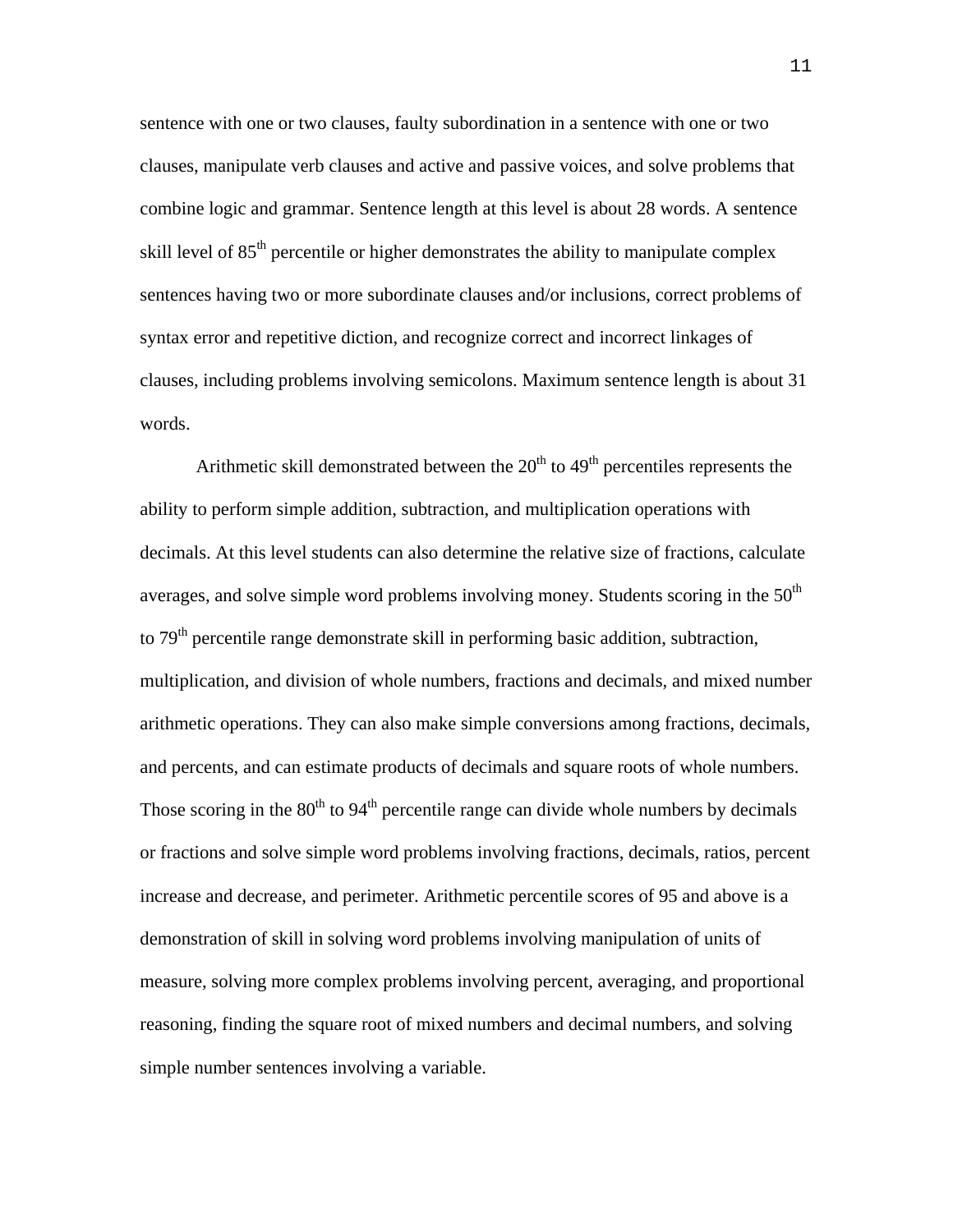sentence with one or two clauses, faulty subordination in a sentence with one or two clauses, manipulate verb clauses and active and passive voices, and solve problems that combine logic and grammar. Sentence length at this level is about 28 words. A sentence skill level of 85<sup>th</sup> percentile or higher demonstrates the ability to manipulate complex sentences having two or more subordinate clauses and/or inclusions, correct problems of syntax error and repetitive diction, and recognize correct and incorrect linkages of clauses, including problems involving semicolons. Maximum sentence length is about 31 words.

Arithmetic skill demonstrated between the  $20<sup>th</sup>$  to  $49<sup>th</sup>$  percentiles represents the ability to perform simple addition, subtraction, and multiplication operations with decimals. At this level students can also determine the relative size of fractions, calculate averages, and solve simple word problems involving money. Students scoring in the  $50<sup>th</sup>$ to 79<sup>th</sup> percentile range demonstrate skill in performing basic addition, subtraction, multiplication, and division of whole numbers, fractions and decimals, and mixed number arithmetic operations. They can also make simple conversions among fractions, decimals, and percents, and can estimate products of decimals and square roots of whole numbers. Those scoring in the  $80<sup>th</sup>$  to  $94<sup>th</sup>$  percentile range can divide whole numbers by decimals or fractions and solve simple word problems involving fractions, decimals, ratios, percent increase and decrease, and perimeter. Arithmetic percentile scores of 95 and above is a demonstration of skill in solving word problems involving manipulation of units of measure, solving more complex problems involving percent, averaging, and proportional reasoning, finding the square root of mixed numbers and decimal numbers, and solving simple number sentences involving a variable.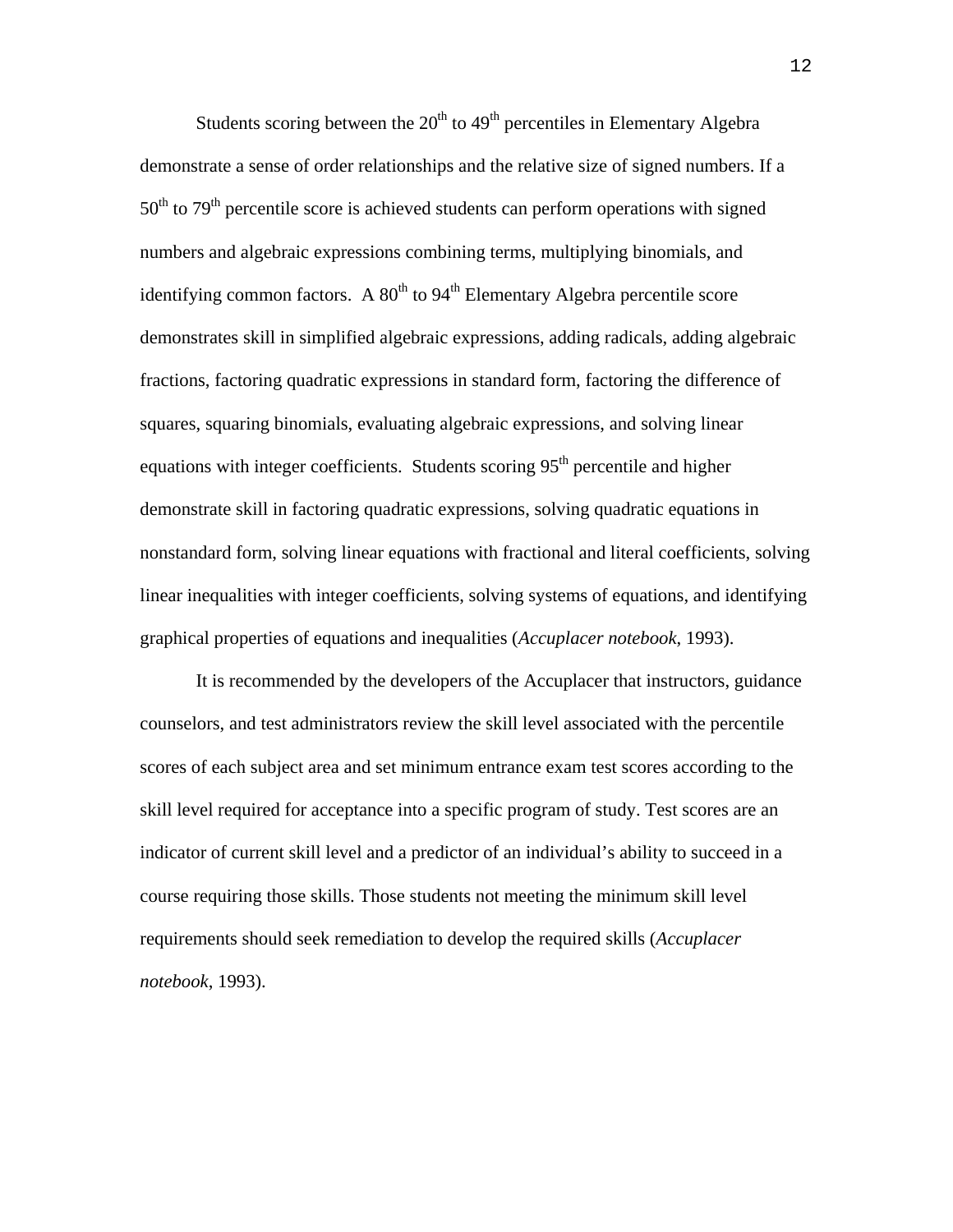Students scoring between the  $20<sup>th</sup>$  to  $49<sup>th</sup>$  percentiles in Elementary Algebra demonstrate a sense of order relationships and the relative size of signed numbers. If a  $50<sup>th</sup>$  to  $79<sup>th</sup>$  percentile score is achieved students can perform operations with signed numbers and algebraic expressions combining terms, multiplying binomials, and identifying common factors. A  $80<sup>th</sup>$  to  $94<sup>th</sup>$  Elementary Algebra percentile score demonstrates skill in simplified algebraic expressions, adding radicals, adding algebraic fractions, factoring quadratic expressions in standard form, factoring the difference of squares, squaring binomials, evaluating algebraic expressions, and solving linear equations with integer coefficients. Students scoring  $95<sup>th</sup>$  percentile and higher demonstrate skill in factoring quadratic expressions, solving quadratic equations in nonstandard form, solving linear equations with fractional and literal coefficients, solving linear inequalities with integer coefficients, solving systems of equations, and identifying graphical properties of equations and inequalities (*Accuplacer notebook*, 1993).

It is recommended by the developers of the Accuplacer that instructors, guidance counselors, and test administrators review the skill level associated with the percentile scores of each subject area and set minimum entrance exam test scores according to the skill level required for acceptance into a specific program of study. Test scores are an indicator of current skill level and a predictor of an individual's ability to succeed in a course requiring those skills. Those students not meeting the minimum skill level requirements should seek remediation to develop the required skills (*Accuplacer notebook*, 1993).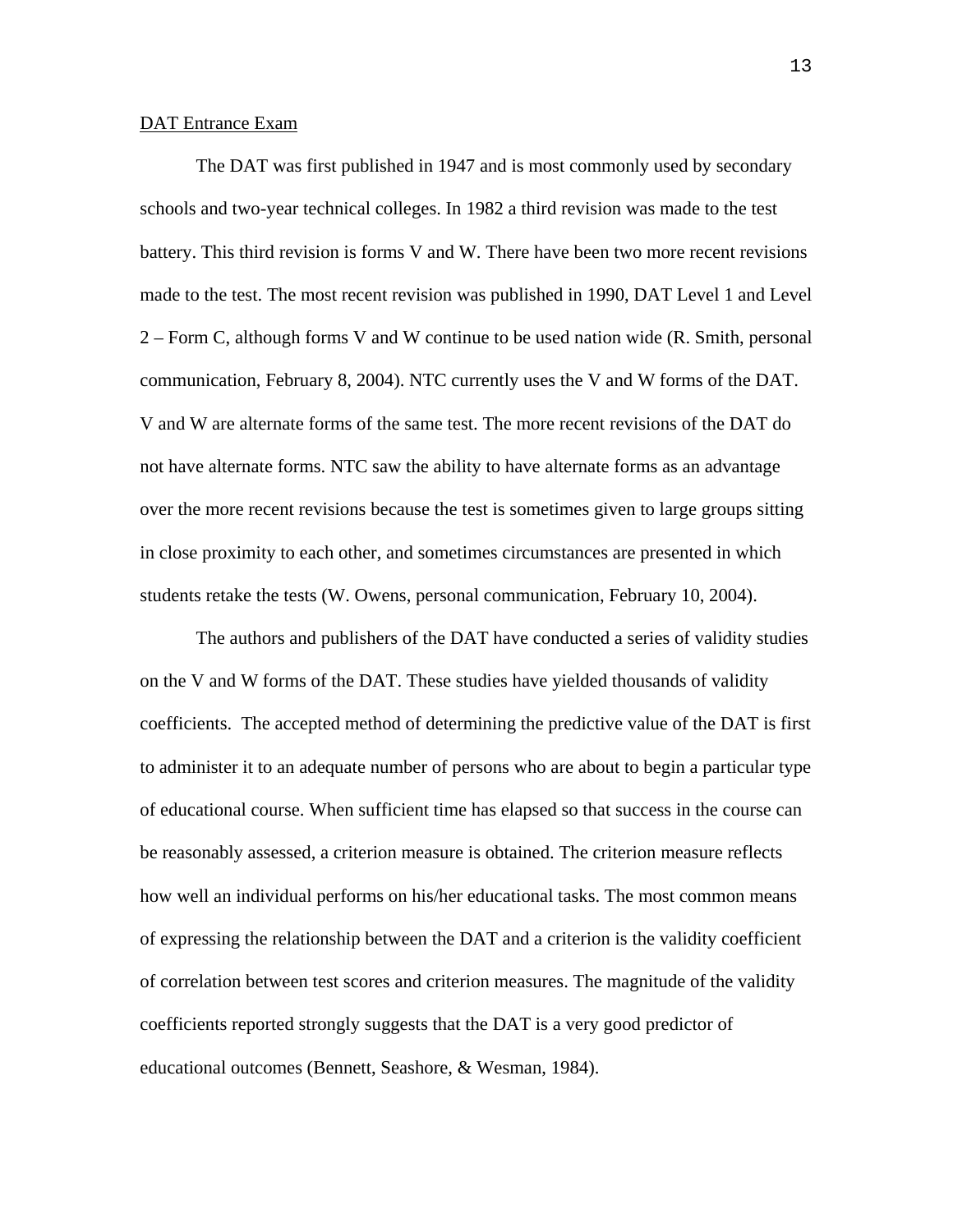## DAT Entrance Exam

The DAT was first published in 1947 and is most commonly used by secondary schools and two-year technical colleges. In 1982 a third revision was made to the test battery. This third revision is forms V and W. There have been two more recent revisions made to the test. The most recent revision was published in 1990, DAT Level 1 and Level 2 – Form C, although forms V and W continue to be used nation wide (R. Smith, personal communication, February 8, 2004). NTC currently uses the V and W forms of the DAT. V and W are alternate forms of the same test. The more recent revisions of the DAT do not have alternate forms. NTC saw the ability to have alternate forms as an advantage over the more recent revisions because the test is sometimes given to large groups sitting in close proximity to each other, and sometimes circumstances are presented in which students retake the tests (W. Owens, personal communication, February 10, 2004).

The authors and publishers of the DAT have conducted a series of validity studies on the V and W forms of the DAT. These studies have yielded thousands of validity coefficients. The accepted method of determining the predictive value of the DAT is first to administer it to an adequate number of persons who are about to begin a particular type of educational course. When sufficient time has elapsed so that success in the course can be reasonably assessed, a criterion measure is obtained. The criterion measure reflects how well an individual performs on his/her educational tasks. The most common means of expressing the relationship between the DAT and a criterion is the validity coefficient of correlation between test scores and criterion measures. The magnitude of the validity coefficients reported strongly suggests that the DAT is a very good predictor of educational outcomes (Bennett, Seashore, & Wesman, 1984).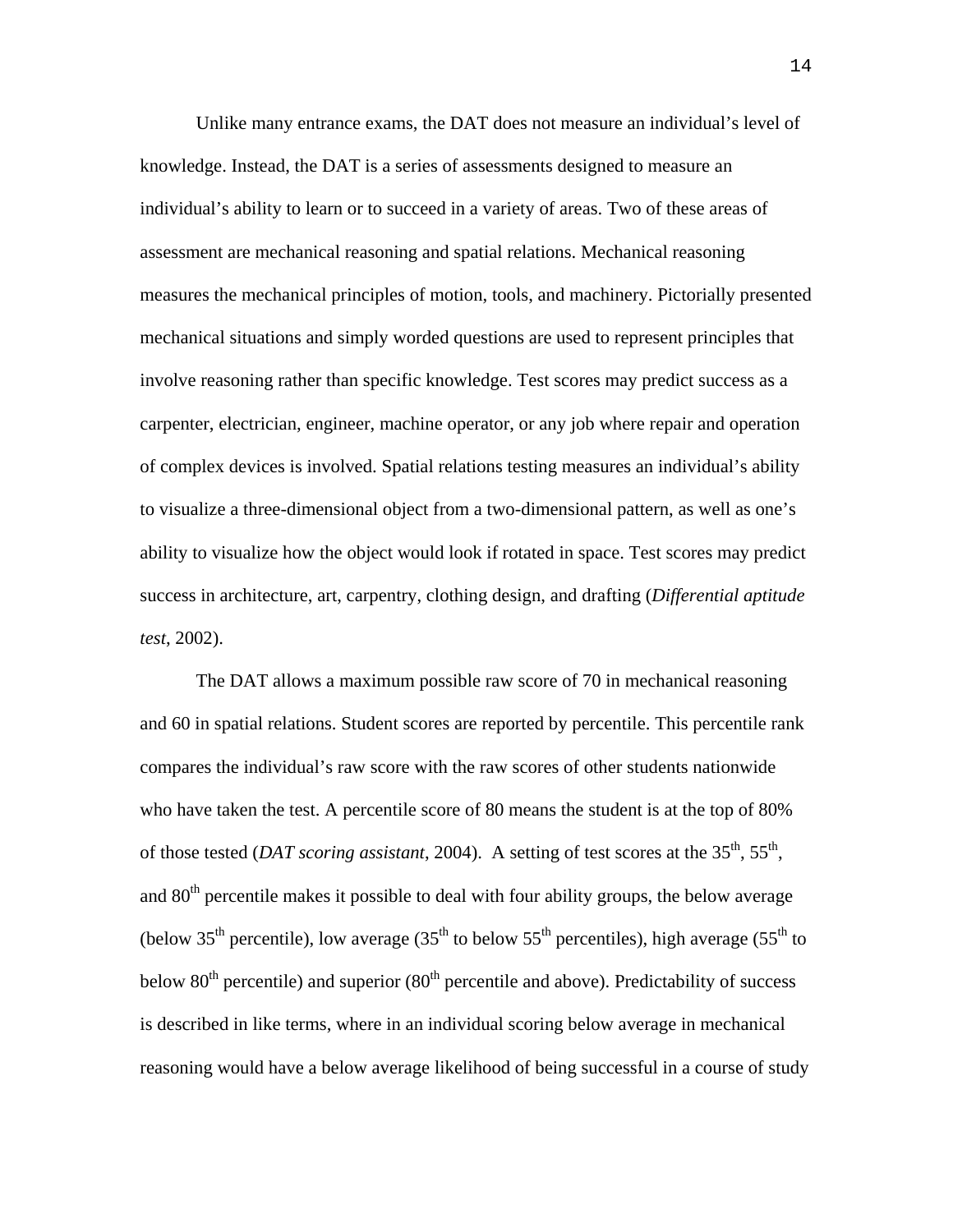Unlike many entrance exams, the DAT does not measure an individual's level of knowledge. Instead, the DAT is a series of assessments designed to measure an individual's ability to learn or to succeed in a variety of areas. Two of these areas of assessment are mechanical reasoning and spatial relations. Mechanical reasoning measures the mechanical principles of motion, tools, and machinery. Pictorially presented mechanical situations and simply worded questions are used to represent principles that involve reasoning rather than specific knowledge. Test scores may predict success as a carpenter, electrician, engineer, machine operator, or any job where repair and operation of complex devices is involved. Spatial relations testing measures an individual's ability to visualize a three-dimensional object from a two-dimensional pattern, as well as one's ability to visualize how the object would look if rotated in space. Test scores may predict success in architecture, art, carpentry, clothing design, and drafting (*Differential aptitude test*, 2002).

The DAT allows a maximum possible raw score of 70 in mechanical reasoning and 60 in spatial relations. Student scores are reported by percentile. This percentile rank compares the individual's raw score with the raw scores of other students nationwide who have taken the test. A percentile score of 80 means the student is at the top of 80% of those tested (*DAT scoring assistant*, 2004). A setting of test scores at the 35<sup>th</sup>, 55<sup>th</sup>, and  $80<sup>th</sup>$  percentile makes it possible to deal with four ability groups, the below average (below 35<sup>th</sup> percentile), low average (35<sup>th</sup> to below 55<sup>th</sup> percentiles), high average (55<sup>th</sup> to below  $80<sup>th</sup>$  percentile) and superior  $(80<sup>th</sup>$  percentile and above). Predictability of success is described in like terms, where in an individual scoring below average in mechanical reasoning would have a below average likelihood of being successful in a course of study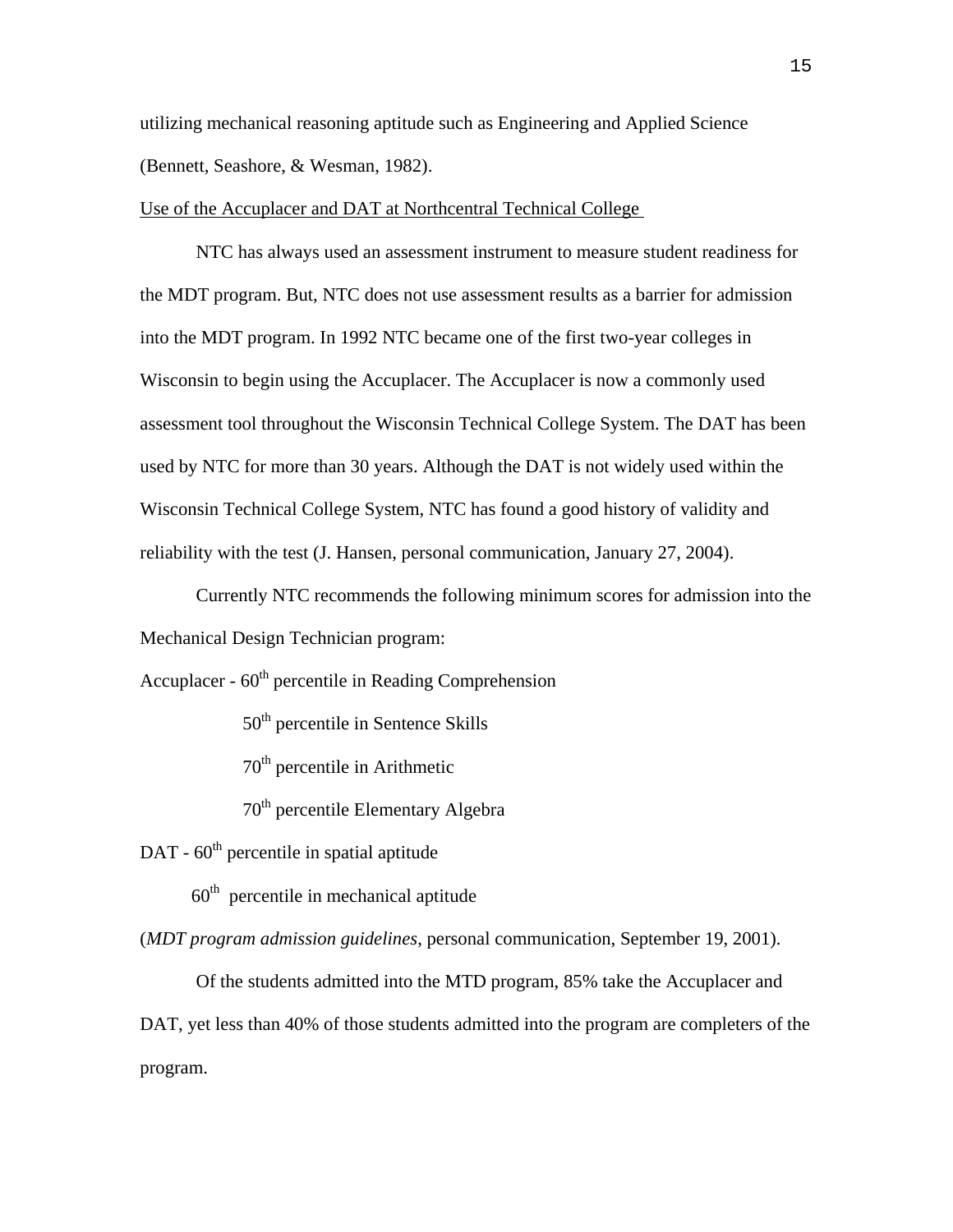utilizing mechanical reasoning aptitude such as Engineering and Applied Science (Bennett, Seashore, & Wesman, 1982).

Use of the Accuplacer and DAT at Northcentral Technical College

NTC has always used an assessment instrument to measure student readiness for the MDT program. But, NTC does not use assessment results as a barrier for admission into the MDT program. In 1992 NTC became one of the first two-year colleges in Wisconsin to begin using the Accuplacer. The Accuplacer is now a commonly used assessment tool throughout the Wisconsin Technical College System. The DAT has been used by NTC for more than 30 years. Although the DAT is not widely used within the Wisconsin Technical College System, NTC has found a good history of validity and reliability with the test (J. Hansen, personal communication, January 27, 2004).

Currently NTC recommends the following minimum scores for admission into the Mechanical Design Technician program:

Accuplacer -  $60<sup>th</sup>$  percentile in Reading Comprehension

50<sup>th</sup> percentile in Sentence Skills

70th percentile in Arithmetic

70<sup>th</sup> percentile Elementary Algebra

 $DATA - 60<sup>th</sup>$  percentile in spatial aptitude

 $60<sup>th</sup>$  percentile in mechanical aptitude

(*MDT program admission guidelines*, personal communication, September 19, 2001).

Of the students admitted into the MTD program, 85% take the Accuplacer and DAT, yet less than 40% of those students admitted into the program are completers of the program.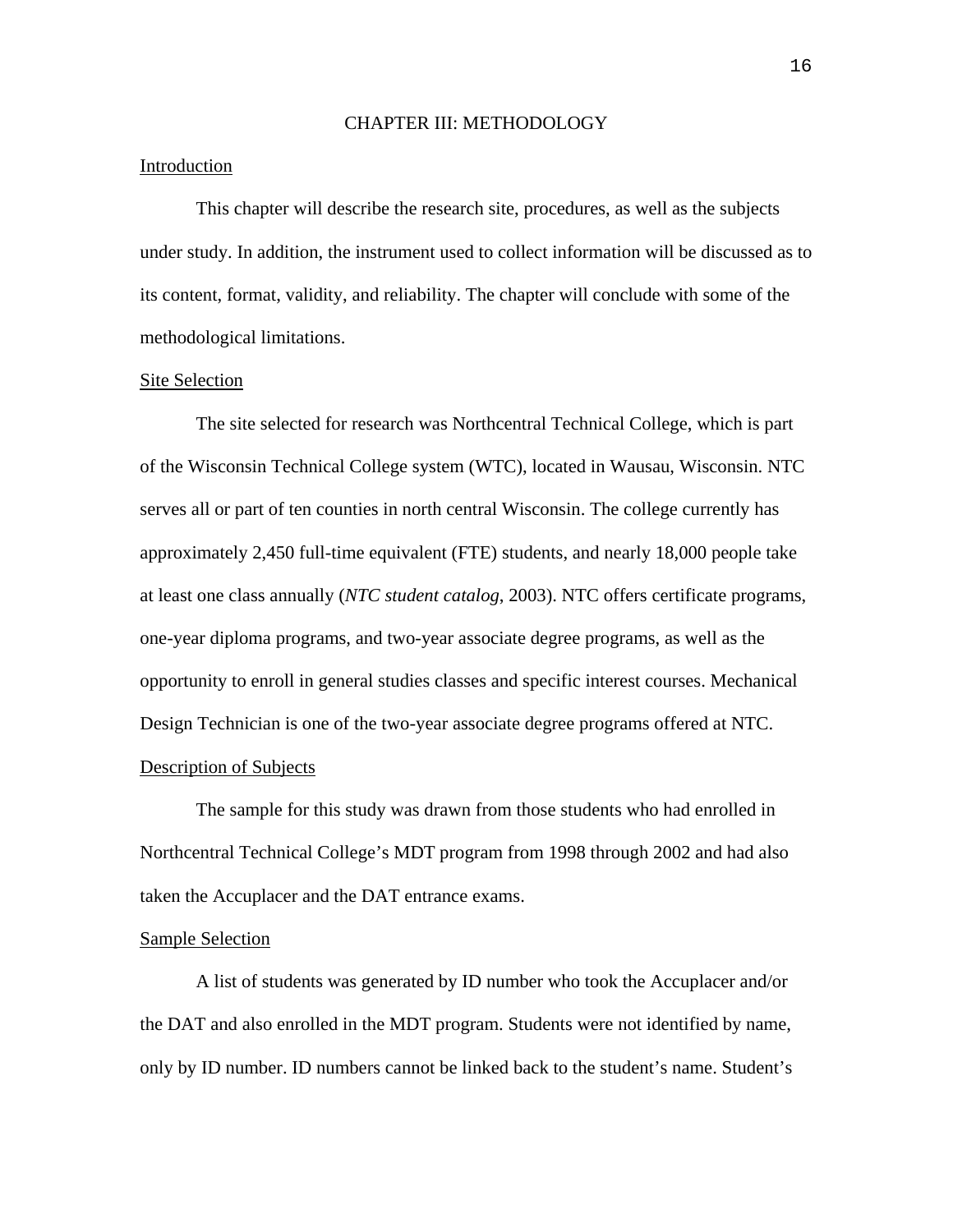### CHAPTER III: METHODOLOGY

# Introduction

This chapter will describe the research site, procedures, as well as the subjects under study. In addition, the instrument used to collect information will be discussed as to its content, format, validity, and reliability. The chapter will conclude with some of the methodological limitations.

#### Site Selection

The site selected for research was Northcentral Technical College, which is part of the Wisconsin Technical College system (WTC), located in Wausau, Wisconsin. NTC serves all or part of ten counties in north central Wisconsin. The college currently has approximately 2,450 full-time equivalent (FTE) students, and nearly 18,000 people take at least one class annually (*NTC student catalog*, 2003). NTC offers certificate programs, one-year diploma programs, and two-year associate degree programs, as well as the opportunity to enroll in general studies classes and specific interest courses. Mechanical Design Technician is one of the two-year associate degree programs offered at NTC. Description of Subjects

The sample for this study was drawn from those students who had enrolled in Northcentral Technical College's MDT program from 1998 through 2002 and had also taken the Accuplacer and the DAT entrance exams.

#### Sample Selection

A list of students was generated by ID number who took the Accuplacer and/or the DAT and also enrolled in the MDT program. Students were not identified by name, only by ID number. ID numbers cannot be linked back to the student's name. Student's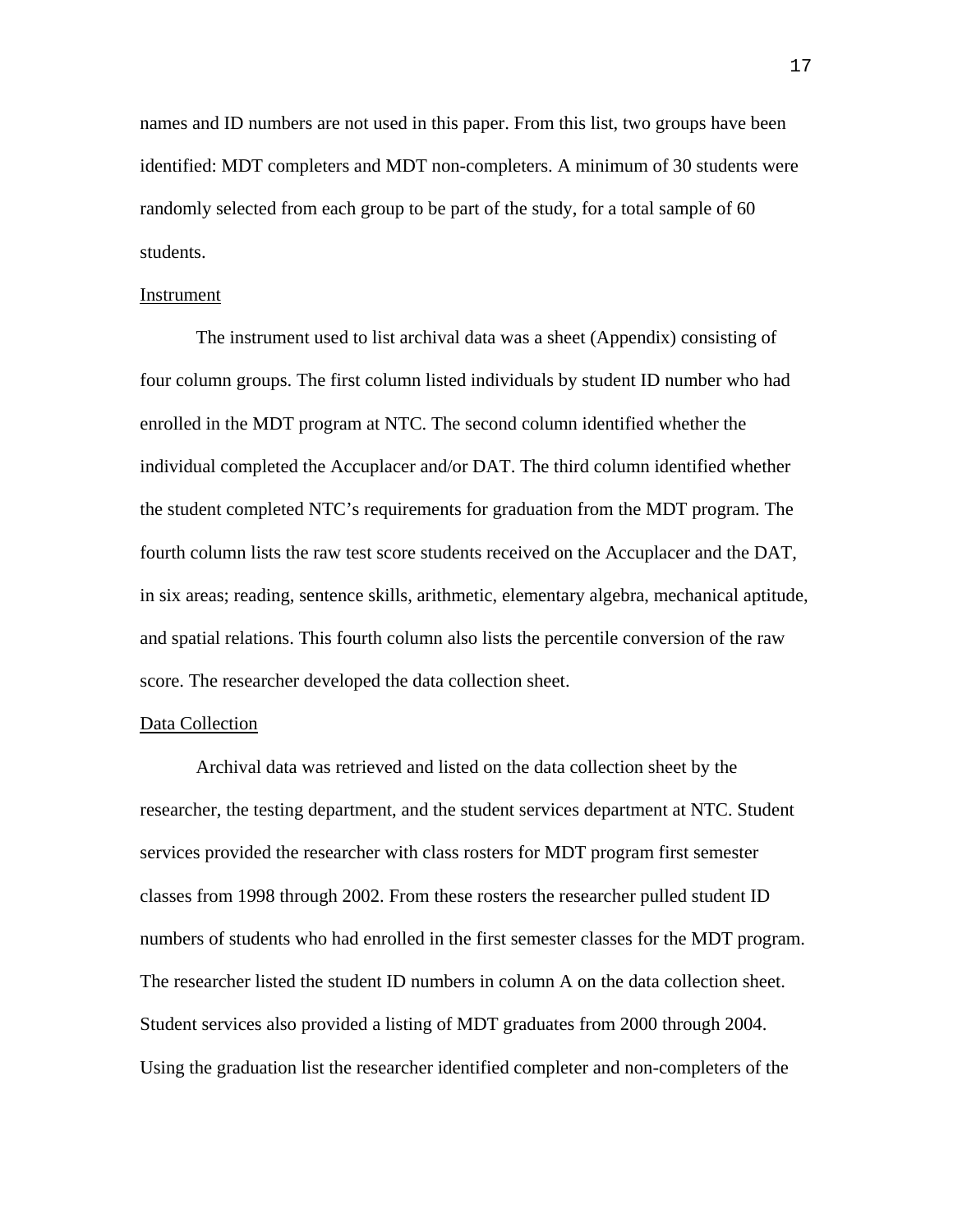names and ID numbers are not used in this paper. From this list, two groups have been identified: MDT completers and MDT non-completers. A minimum of 30 students were randomly selected from each group to be part of the study, for a total sample of 60 students.

#### Instrument

The instrument used to list archival data was a sheet (Appendix) consisting of four column groups. The first column listed individuals by student ID number who had enrolled in the MDT program at NTC. The second column identified whether the individual completed the Accuplacer and/or DAT. The third column identified whether the student completed NTC's requirements for graduation from the MDT program. The fourth column lists the raw test score students received on the Accuplacer and the DAT, in six areas; reading, sentence skills, arithmetic, elementary algebra, mechanical aptitude, and spatial relations. This fourth column also lists the percentile conversion of the raw score. The researcher developed the data collection sheet.

#### Data Collection

 Archival data was retrieved and listed on the data collection sheet by the researcher, the testing department, and the student services department at NTC. Student services provided the researcher with class rosters for MDT program first semester classes from 1998 through 2002. From these rosters the researcher pulled student ID numbers of students who had enrolled in the first semester classes for the MDT program. The researcher listed the student ID numbers in column A on the data collection sheet. Student services also provided a listing of MDT graduates from 2000 through 2004. Using the graduation list the researcher identified completer and non-completers of the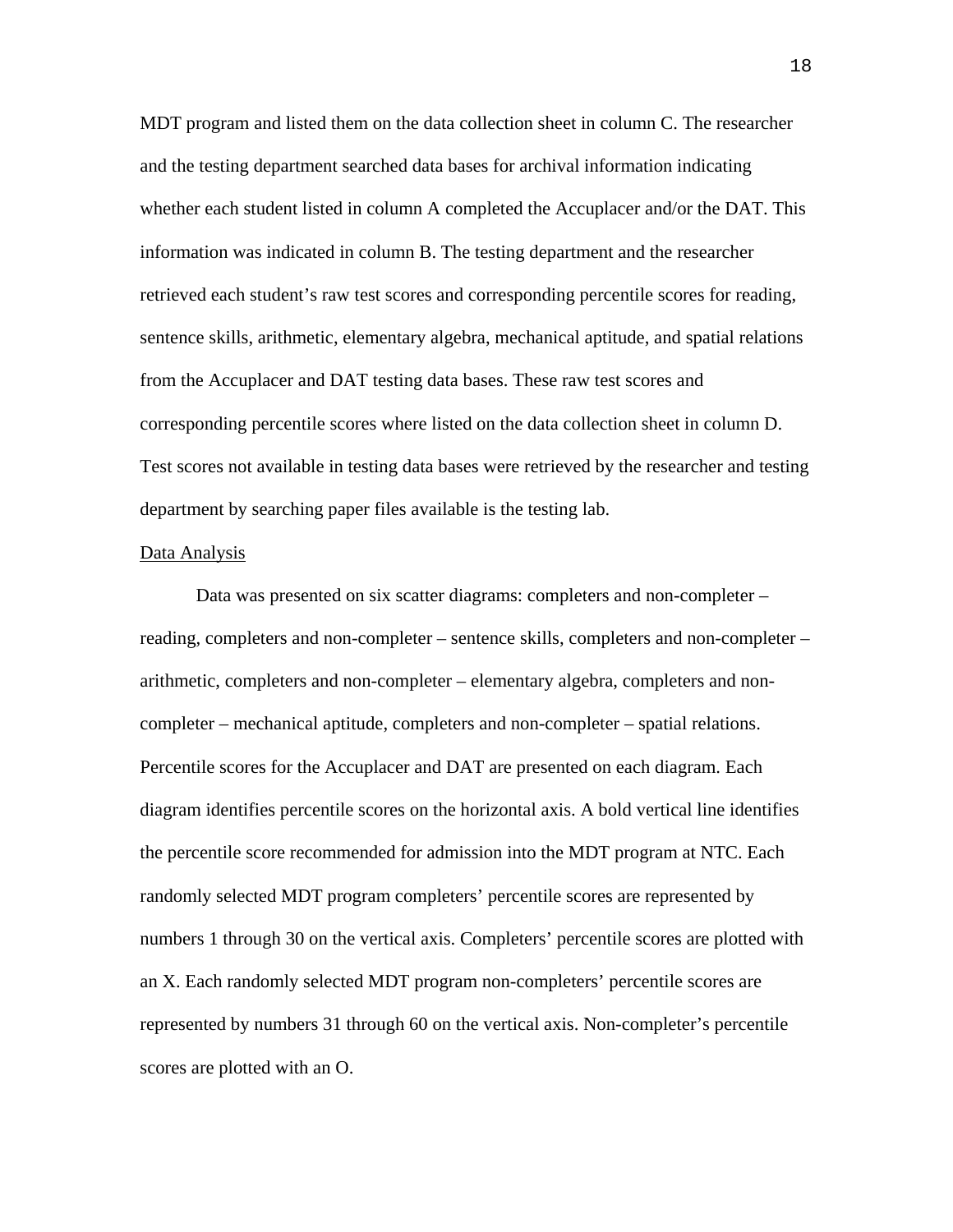MDT program and listed them on the data collection sheet in column C. The researcher and the testing department searched data bases for archival information indicating whether each student listed in column A completed the Accuplacer and/or the DAT. This information was indicated in column B. The testing department and the researcher retrieved each student's raw test scores and corresponding percentile scores for reading, sentence skills, arithmetic, elementary algebra, mechanical aptitude, and spatial relations from the Accuplacer and DAT testing data bases. These raw test scores and corresponding percentile scores where listed on the data collection sheet in column D. Test scores not available in testing data bases were retrieved by the researcher and testing department by searching paper files available is the testing lab.

#### Data Analysis

Data was presented on six scatter diagrams: completers and non-completer – reading, completers and non-completer – sentence skills, completers and non-completer – arithmetic, completers and non-completer – elementary algebra, completers and noncompleter – mechanical aptitude, completers and non-completer – spatial relations. Percentile scores for the Accuplacer and DAT are presented on each diagram. Each diagram identifies percentile scores on the horizontal axis. A bold vertical line identifies the percentile score recommended for admission into the MDT program at NTC. Each randomly selected MDT program completers' percentile scores are represented by numbers 1 through 30 on the vertical axis. Completers' percentile scores are plotted with an X. Each randomly selected MDT program non-completers' percentile scores are represented by numbers 31 through 60 on the vertical axis. Non-completer's percentile scores are plotted with an O.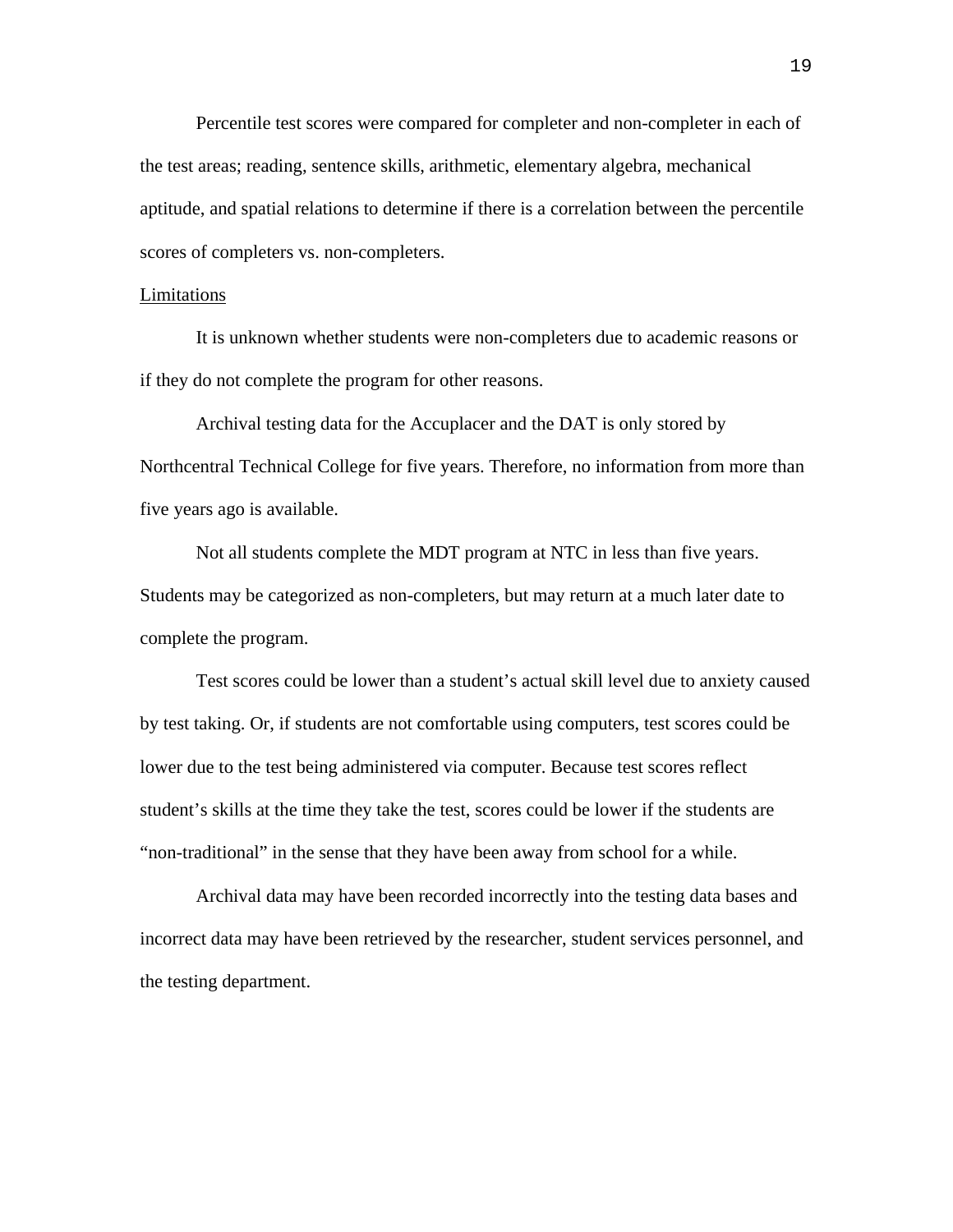Percentile test scores were compared for completer and non-completer in each of the test areas; reading, sentence skills, arithmetic, elementary algebra, mechanical aptitude, and spatial relations to determine if there is a correlation between the percentile scores of completers vs. non-completers.

#### Limitations

It is unknown whether students were non-completers due to academic reasons or if they do not complete the program for other reasons.

Archival testing data for the Accuplacer and the DAT is only stored by Northcentral Technical College for five years. Therefore, no information from more than five years ago is available.

Not all students complete the MDT program at NTC in less than five years. Students may be categorized as non-completers, but may return at a much later date to complete the program.

Test scores could be lower than a student's actual skill level due to anxiety caused by test taking. Or, if students are not comfortable using computers, test scores could be lower due to the test being administered via computer. Because test scores reflect student's skills at the time they take the test, scores could be lower if the students are "non-traditional" in the sense that they have been away from school for a while.

Archival data may have been recorded incorrectly into the testing data bases and incorrect data may have been retrieved by the researcher, student services personnel, and the testing department.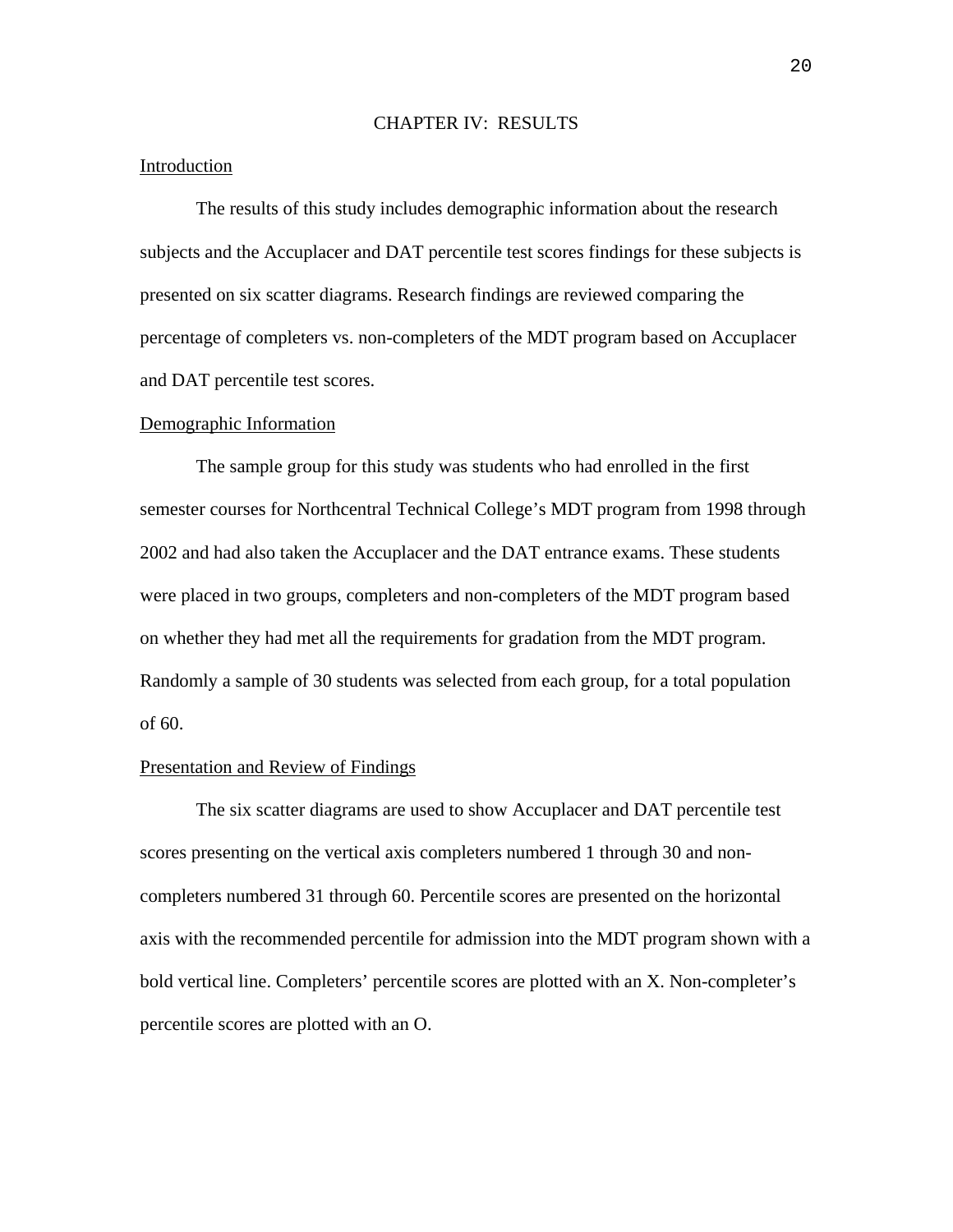### CHAPTER IV: RESULTS

### Introduction

The results of this study includes demographic information about the research subjects and the Accuplacer and DAT percentile test scores findings for these subjects is presented on six scatter diagrams. Research findings are reviewed comparing the percentage of completers vs. non-completers of the MDT program based on Accuplacer and DAT percentile test scores.

#### Demographic Information

The sample group for this study was students who had enrolled in the first semester courses for Northcentral Technical College's MDT program from 1998 through 2002 and had also taken the Accuplacer and the DAT entrance exams. These students were placed in two groups, completers and non-completers of the MDT program based on whether they had met all the requirements for gradation from the MDT program. Randomly a sample of 30 students was selected from each group, for a total population of 60.

# Presentation and Review of Findings

The six scatter diagrams are used to show Accuplacer and DAT percentile test scores presenting on the vertical axis completers numbered 1 through 30 and noncompleters numbered 31 through 60. Percentile scores are presented on the horizontal axis with the recommended percentile for admission into the MDT program shown with a bold vertical line. Completers' percentile scores are plotted with an X. Non-completer's percentile scores are plotted with an O.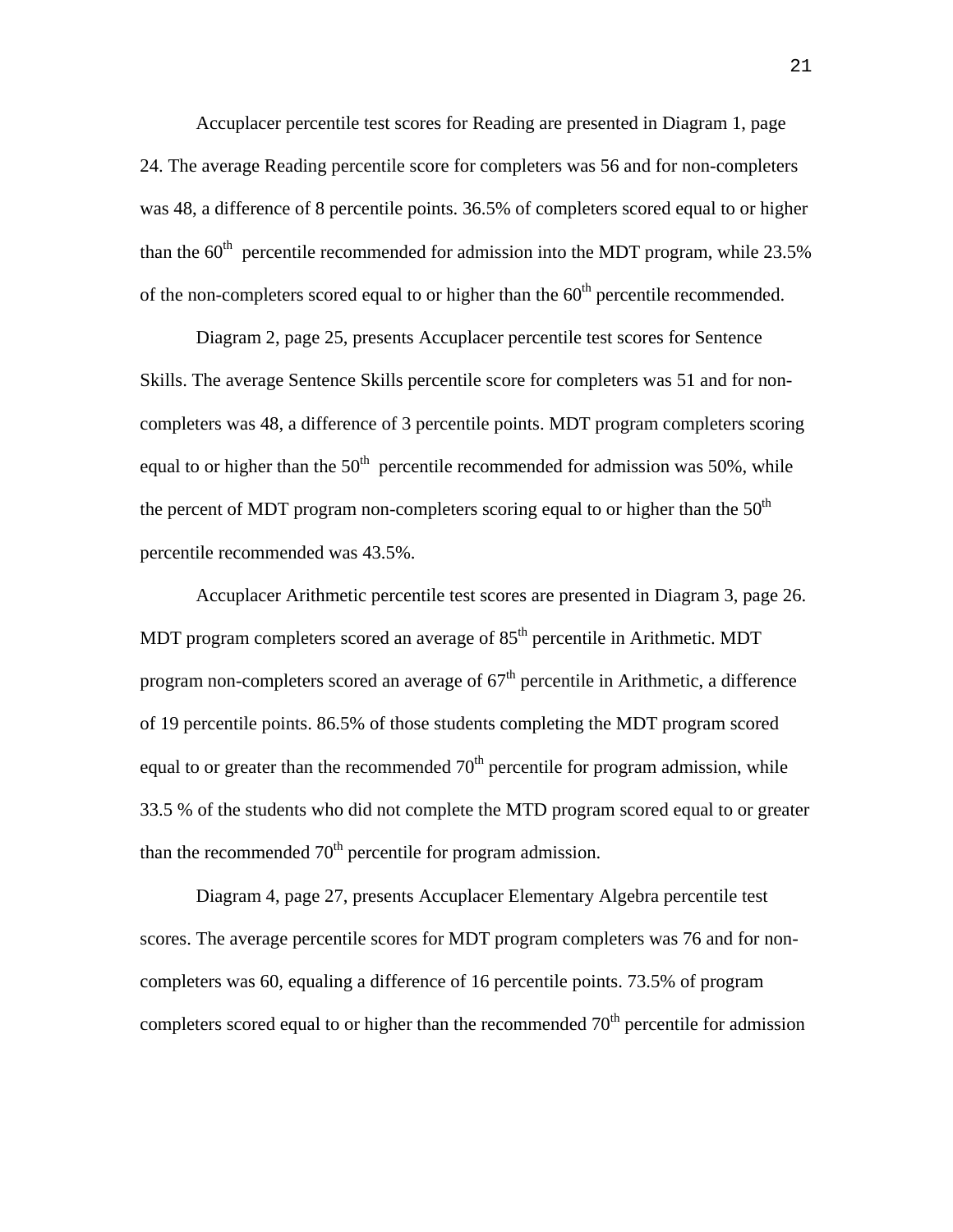Accuplacer percentile test scores for Reading are presented in Diagram 1, page 24. The average Reading percentile score for completers was 56 and for non-completers was 48, a difference of 8 percentile points. 36.5% of completers scored equal to or higher than the  $60<sup>th</sup>$  percentile recommended for admission into the MDT program, while 23.5% of the non-completers scored equal to or higher than the  $60<sup>th</sup>$  percentile recommended.

Diagram 2, page 25, presents Accuplacer percentile test scores for Sentence Skills. The average Sentence Skills percentile score for completers was 51 and for noncompleters was 48, a difference of 3 percentile points. MDT program completers scoring equal to or higher than the  $50<sup>th</sup>$  percentile recommended for admission was 50%, while the percent of MDT program non-completers scoring equal to or higher than the  $50<sup>th</sup>$ percentile recommended was 43.5%.

 Accuplacer Arithmetic percentile test scores are presented in Diagram 3, page 26. MDT program completers scored an average of  $85<sup>th</sup>$  percentile in Arithmetic. MDT program non-completers scored an average of  $67<sup>th</sup>$  percentile in Arithmetic, a difference of 19 percentile points. 86.5% of those students completing the MDT program scored equal to or greater than the recommended  $70<sup>th</sup>$  percentile for program admission, while 33.5 % of the students who did not complete the MTD program scored equal to or greater than the recommended  $70<sup>th</sup>$  percentile for program admission.

Diagram 4, page 27, presents Accuplacer Elementary Algebra percentile test scores. The average percentile scores for MDT program completers was 76 and for noncompleters was 60, equaling a difference of 16 percentile points. 73.5% of program completers scored equal to or higher than the recommended  $70<sup>th</sup>$  percentile for admission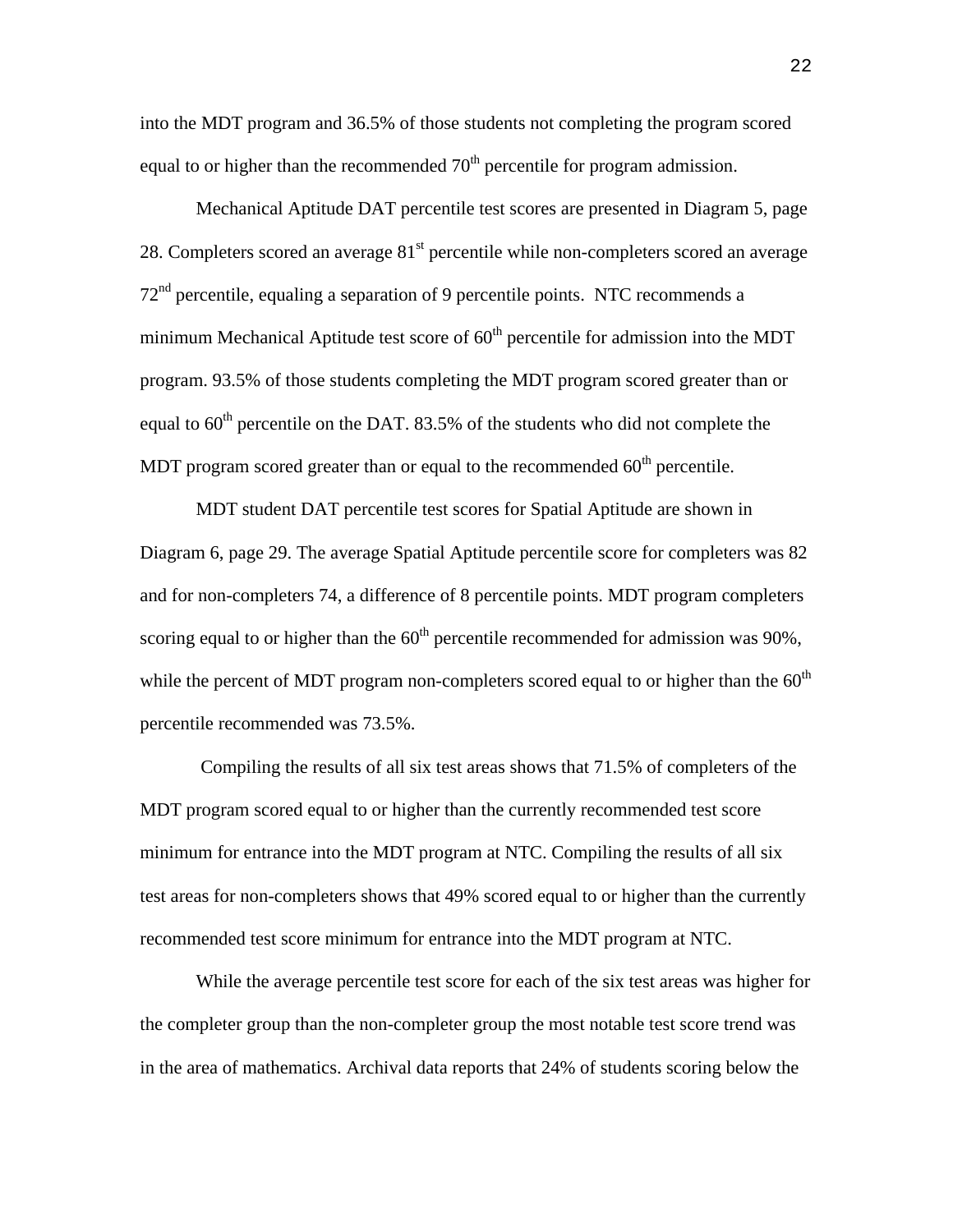into the MDT program and 36.5% of those students not completing the program scored equal to or higher than the recommended  $70<sup>th</sup>$  percentile for program admission.

Mechanical Aptitude DAT percentile test scores are presented in Diagram 5, page 28. Completers scored an average  $81<sup>st</sup>$  percentile while non-completers scored an average  $72<sup>nd</sup>$  percentile, equaling a separation of 9 percentile points. NTC recommends a minimum Mechanical Aptitude test score of  $60<sup>th</sup>$  percentile for admission into the MDT program. 93.5% of those students completing the MDT program scored greater than or equal to  $60<sup>th</sup>$  percentile on the DAT. 83.5% of the students who did not complete the MDT program scored greater than or equal to the recommended  $60<sup>th</sup>$  percentile.

MDT student DAT percentile test scores for Spatial Aptitude are shown in Diagram 6, page 29. The average Spatial Aptitude percentile score for completers was 82 and for non-completers 74, a difference of 8 percentile points. MDT program completers scoring equal to or higher than the  $60<sup>th</sup>$  percentile recommended for admission was 90%, while the percent of MDT program non-completers scored equal to or higher than the  $60<sup>th</sup>$ percentile recommended was 73.5%.

 Compiling the results of all six test areas shows that 71.5% of completers of the MDT program scored equal to or higher than the currently recommended test score minimum for entrance into the MDT program at NTC. Compiling the results of all six test areas for non-completers shows that 49% scored equal to or higher than the currently recommended test score minimum for entrance into the MDT program at NTC.

While the average percentile test score for each of the six test areas was higher for the completer group than the non-completer group the most notable test score trend was in the area of mathematics. Archival data reports that 24% of students scoring below the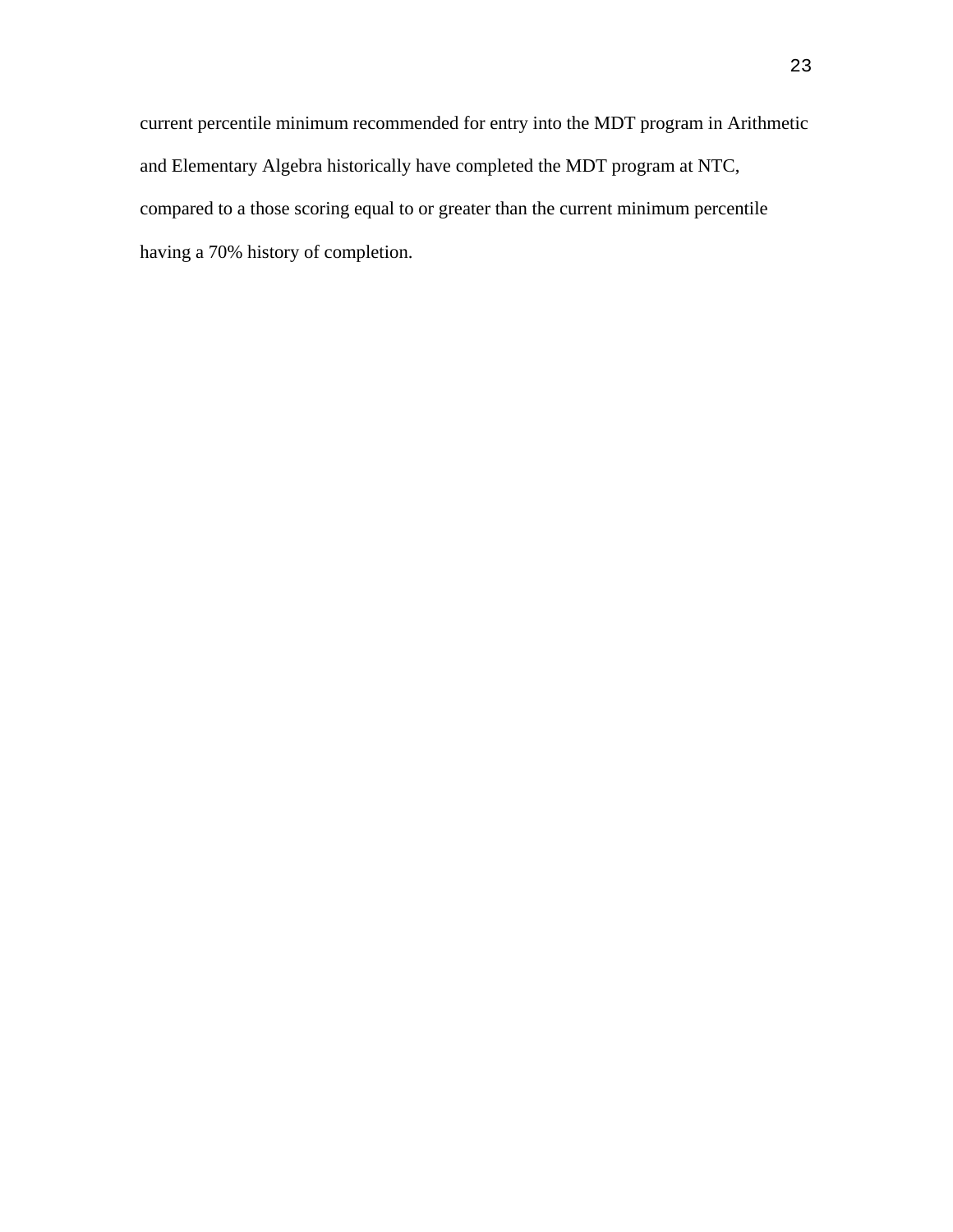current percentile minimum recommended for entry into the MDT program in Arithmetic and Elementary Algebra historically have completed the MDT program at NTC, compared to a those scoring equal to or greater than the current minimum percentile having a 70% history of completion.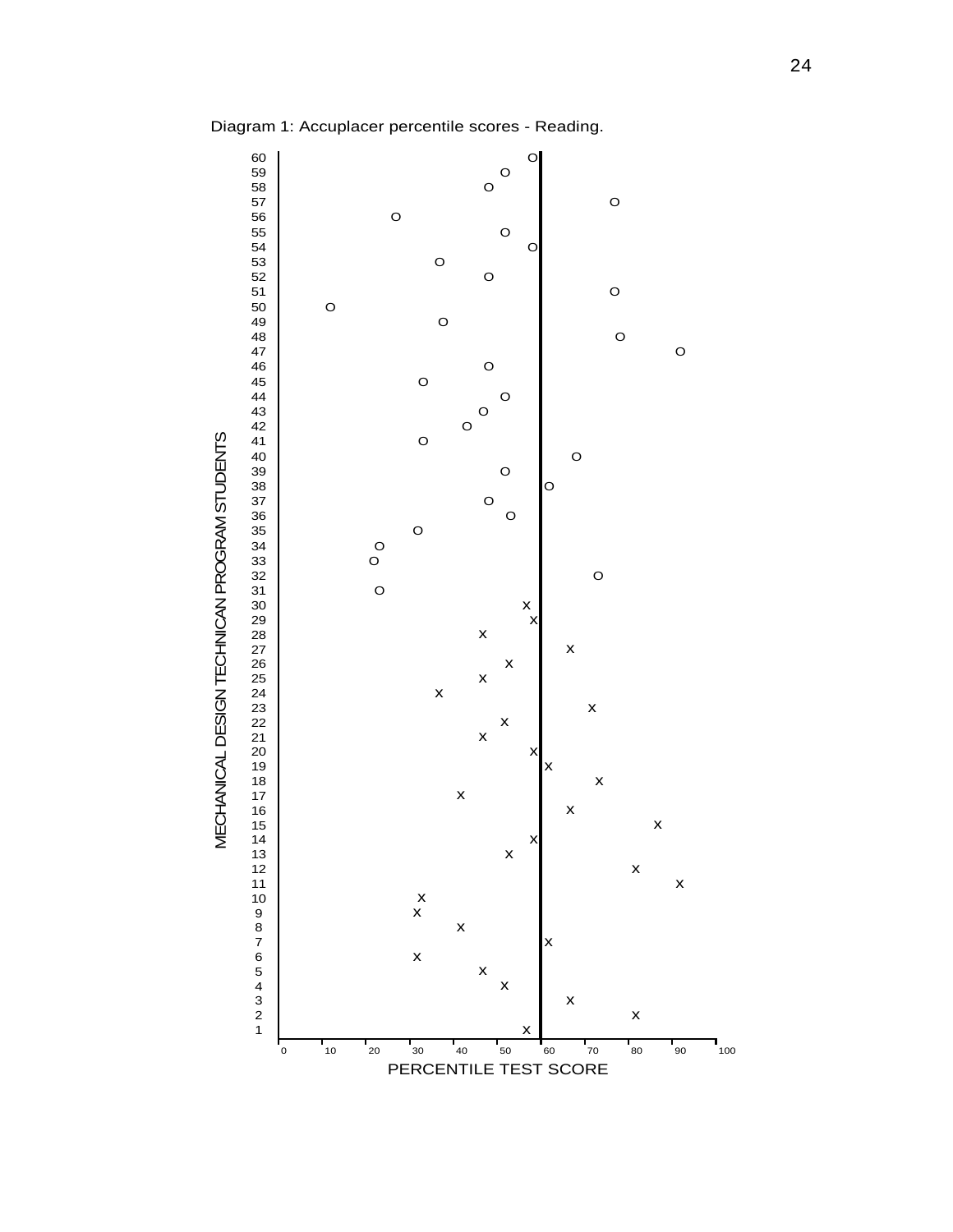Diagram 1: Accuplacer percentile scores - Reading.

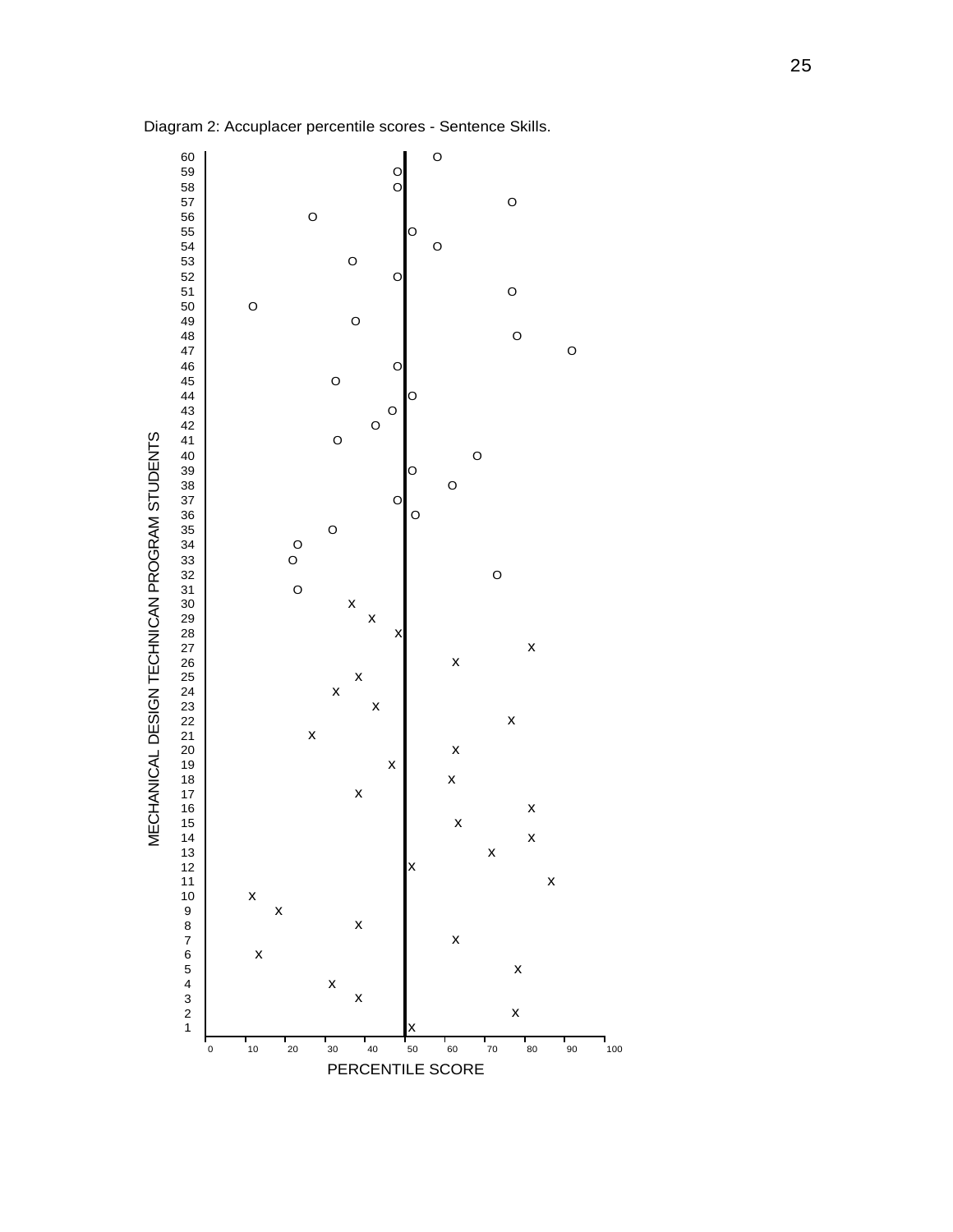

Diagram 2: Accuplacer percentile scores - Sentence Skills.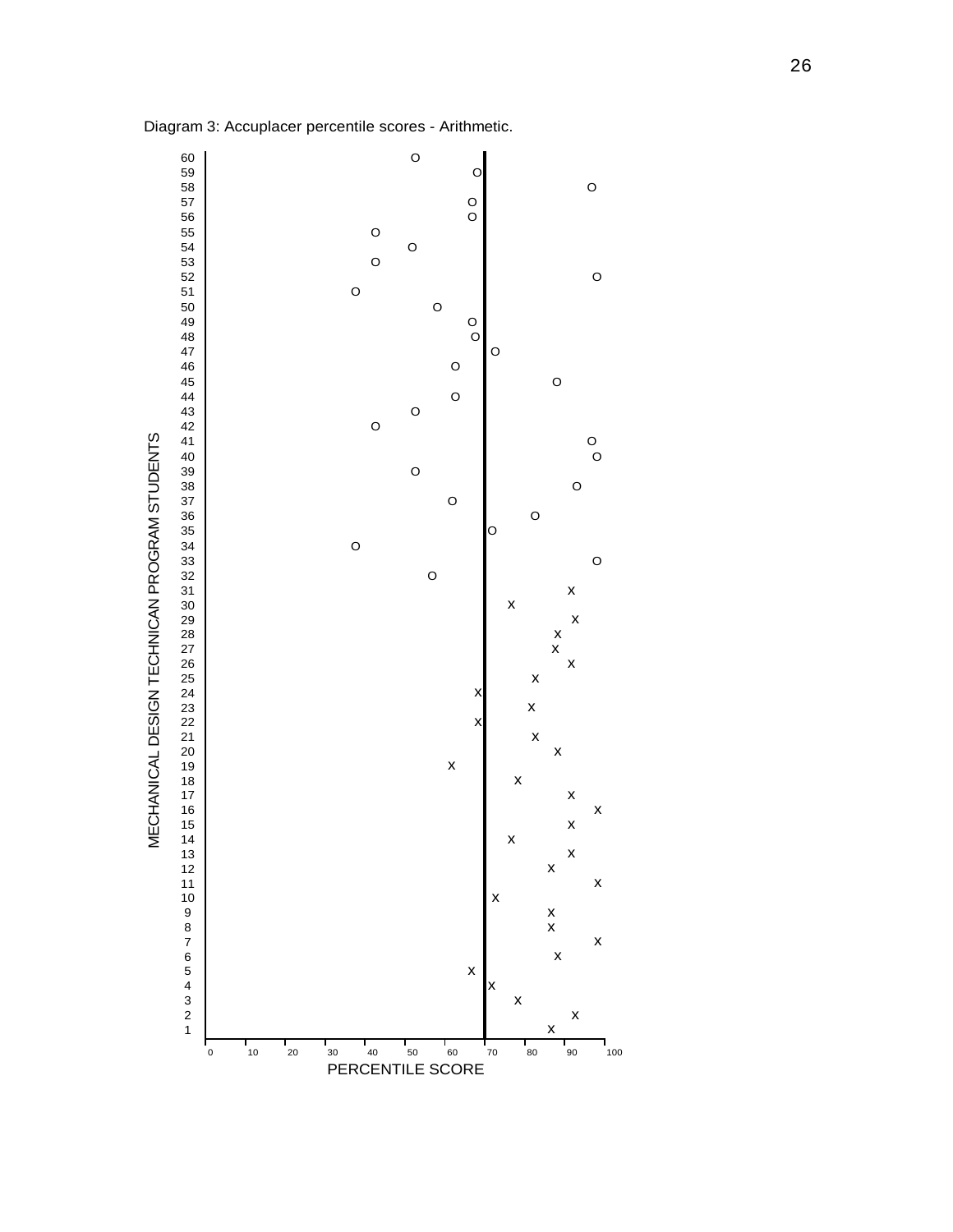

Diagram 3: Accuplacer percentile scores - Arithmetic.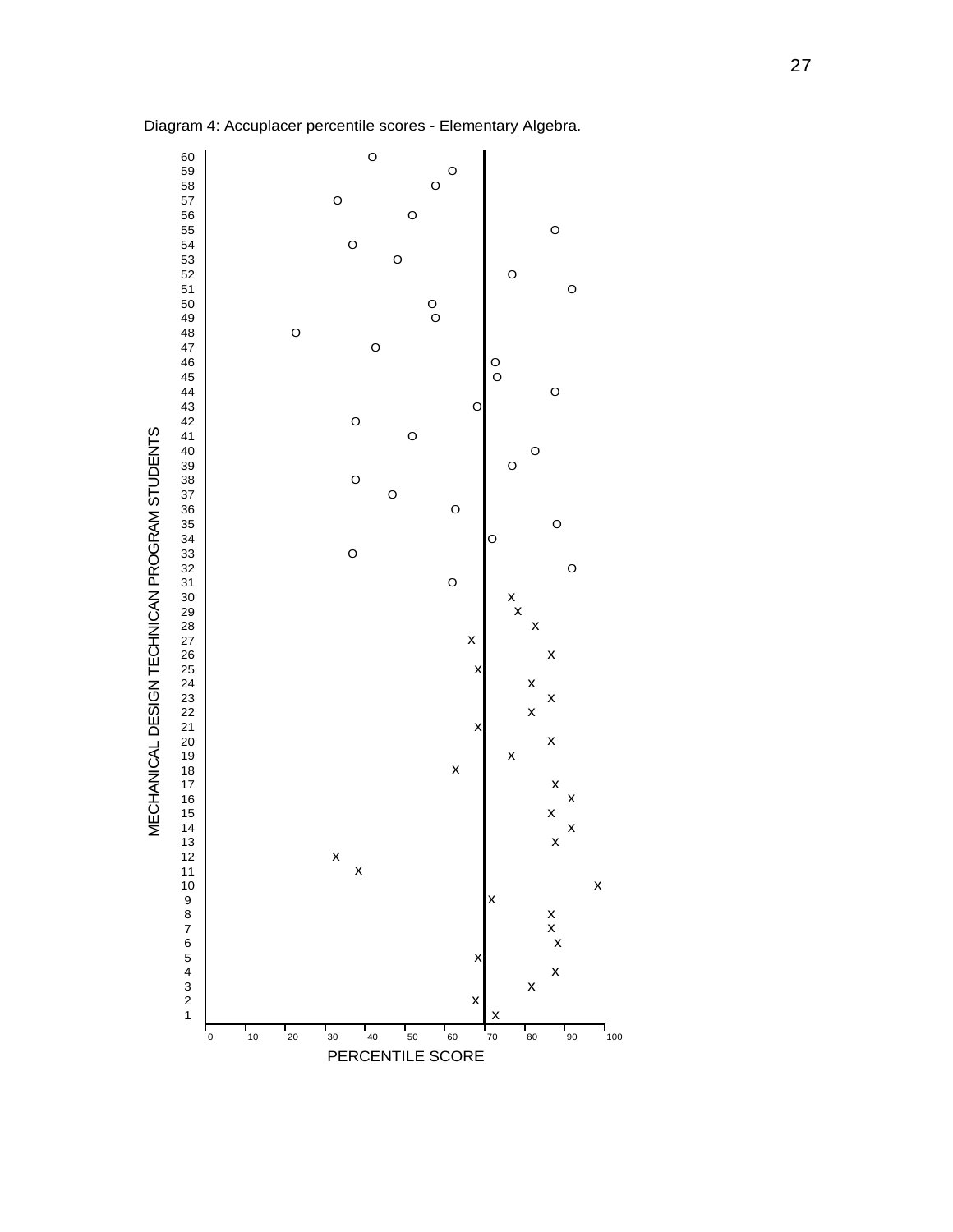

Diagram 4: Accuplacer percentile scores - Elementary Algebra.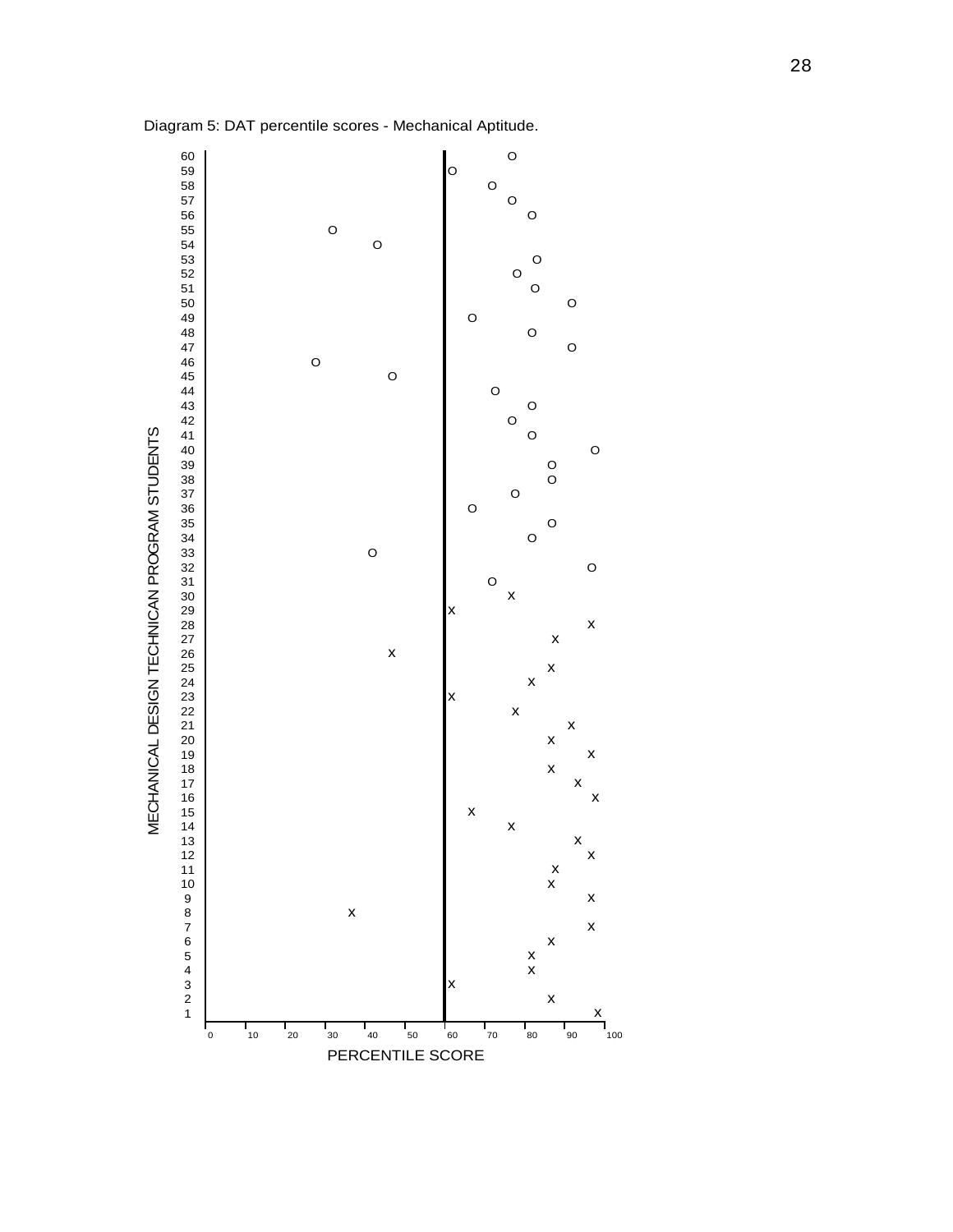

Diagram 5: DAT percentile scores - Mechanical Aptitude.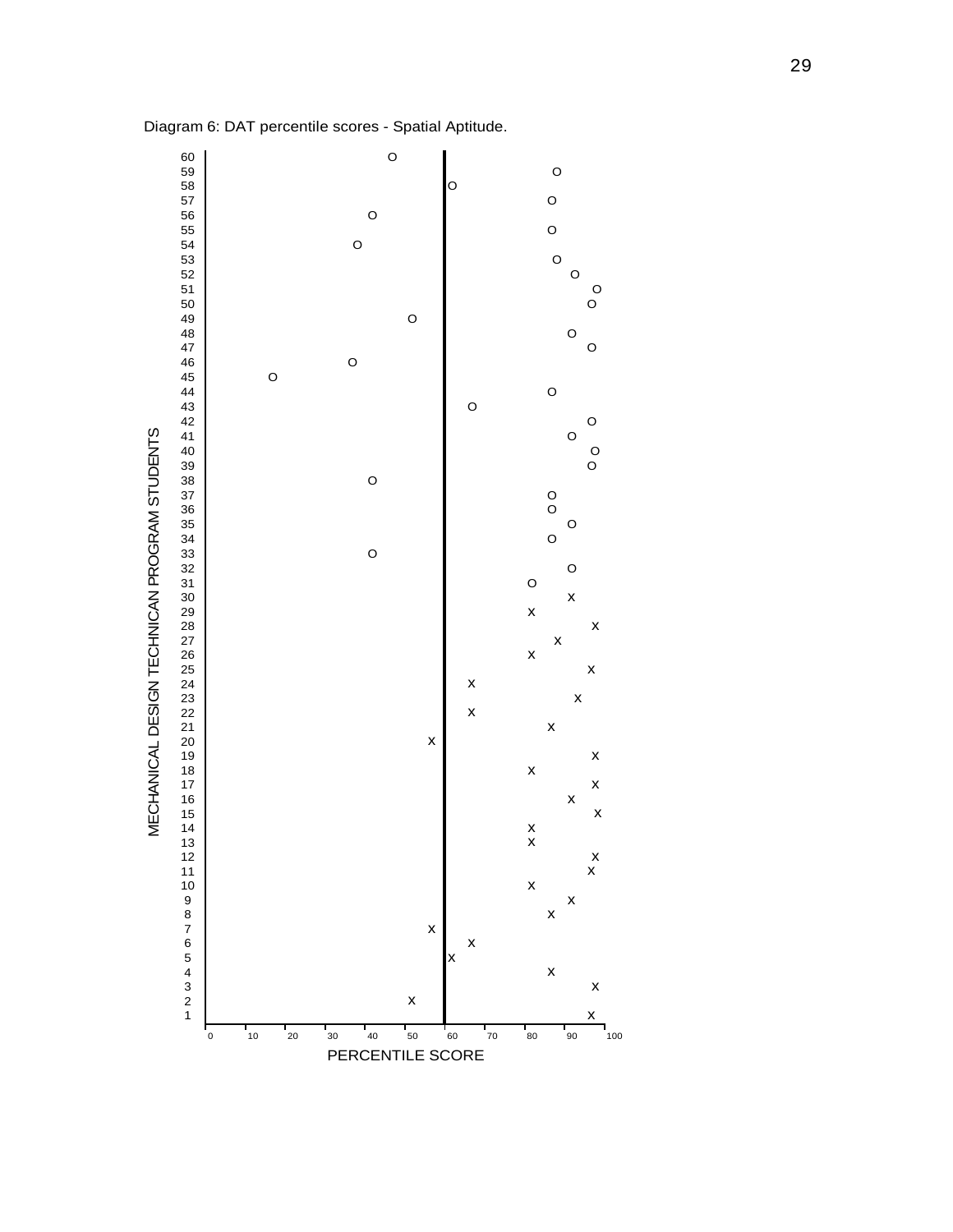

Diagram 6: DAT percentile scores - Spatial Aptitude.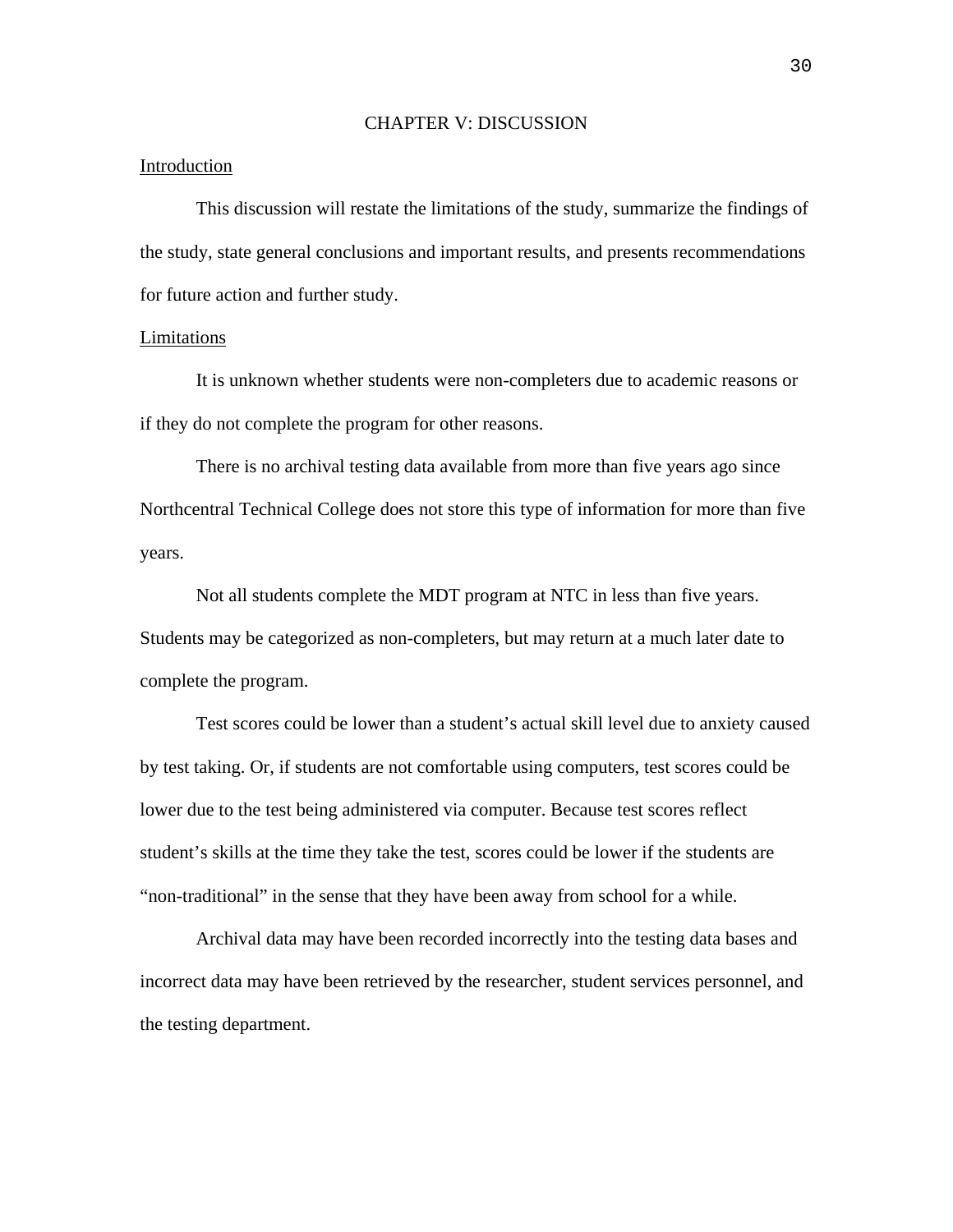#### CHAPTER V: DISCUSSION

### Introduction

This discussion will restate the limitations of the study, summarize the findings of the study, state general conclusions and important results, and presents recommendations for future action and further study.

### Limitations

It is unknown whether students were non-completers due to academic reasons or if they do not complete the program for other reasons.

There is no archival testing data available from more than five years ago since Northcentral Technical College does not store this type of information for more than five years.

Not all students complete the MDT program at NTC in less than five years. Students may be categorized as non-completers, but may return at a much later date to complete the program.

Test scores could be lower than a student's actual skill level due to anxiety caused by test taking. Or, if students are not comfortable using computers, test scores could be lower due to the test being administered via computer. Because test scores reflect student's skills at the time they take the test, scores could be lower if the students are "non-traditional" in the sense that they have been away from school for a while.

Archival data may have been recorded incorrectly into the testing data bases and incorrect data may have been retrieved by the researcher, student services personnel, and the testing department.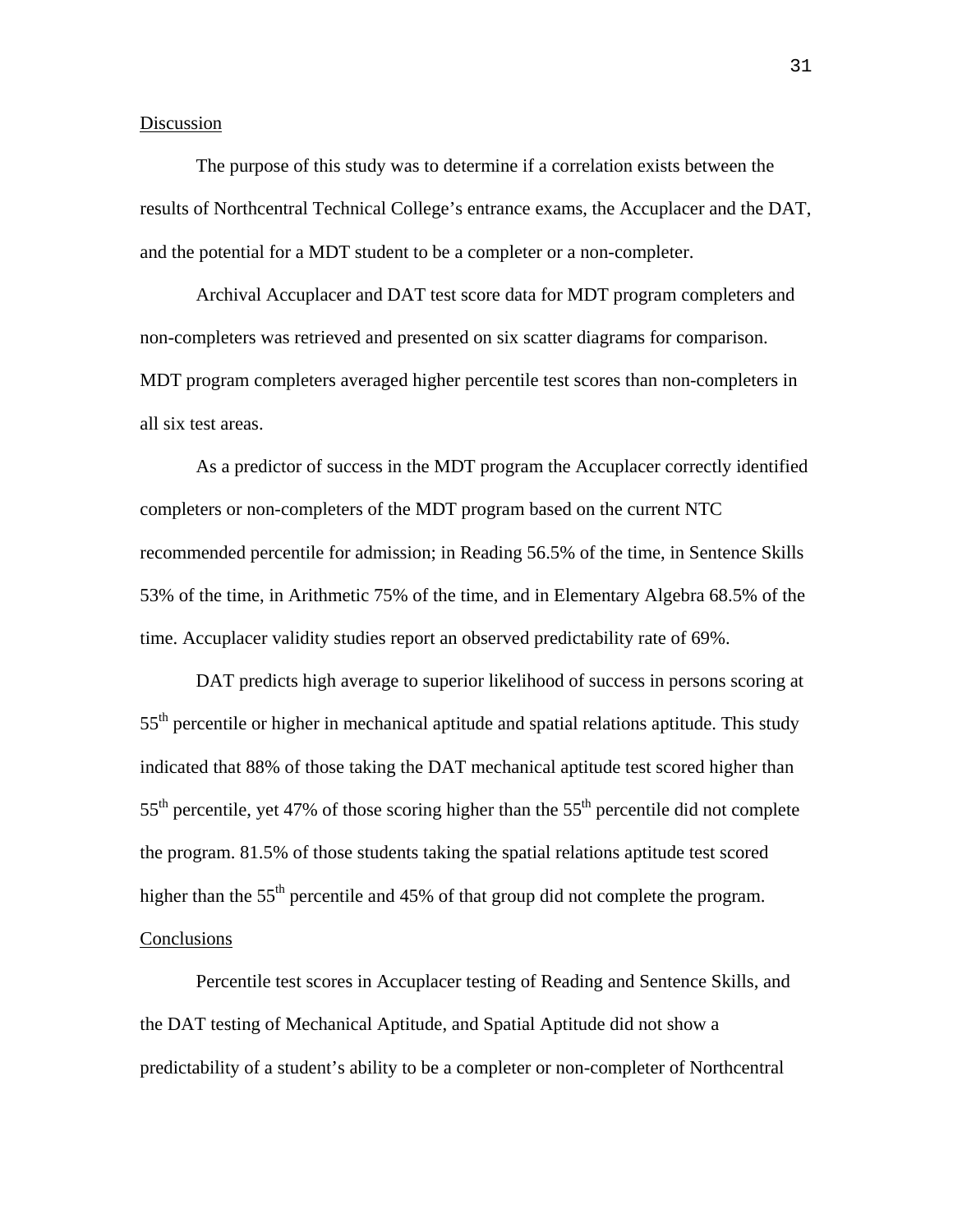# **Discussion**

The purpose of this study was to determine if a correlation exists between the results of Northcentral Technical College's entrance exams, the Accuplacer and the DAT, and the potential for a MDT student to be a completer or a non-completer.

Archival Accuplacer and DAT test score data for MDT program completers and non-completers was retrieved and presented on six scatter diagrams for comparison. MDT program completers averaged higher percentile test scores than non-completers in all six test areas.

As a predictor of success in the MDT program the Accuplacer correctly identified completers or non-completers of the MDT program based on the current NTC recommended percentile for admission; in Reading 56.5% of the time, in Sentence Skills 53% of the time, in Arithmetic 75% of the time, and in Elementary Algebra 68.5% of the time. Accuplacer validity studies report an observed predictability rate of 69%.

DAT predicts high average to superior likelihood of success in persons scoring at  $55<sup>th</sup>$  percentile or higher in mechanical aptitude and spatial relations aptitude. This study indicated that 88% of those taking the DAT mechanical aptitude test scored higher than  $55<sup>th</sup>$  percentile, yet 47% of those scoring higher than the  $55<sup>th</sup>$  percentile did not complete the program. 81.5% of those students taking the spatial relations aptitude test scored higher than the  $55<sup>th</sup>$  percentile and 45% of that group did not complete the program. **Conclusions** 

Percentile test scores in Accuplacer testing of Reading and Sentence Skills, and the DAT testing of Mechanical Aptitude, and Spatial Aptitude did not show a predictability of a student's ability to be a completer or non-completer of Northcentral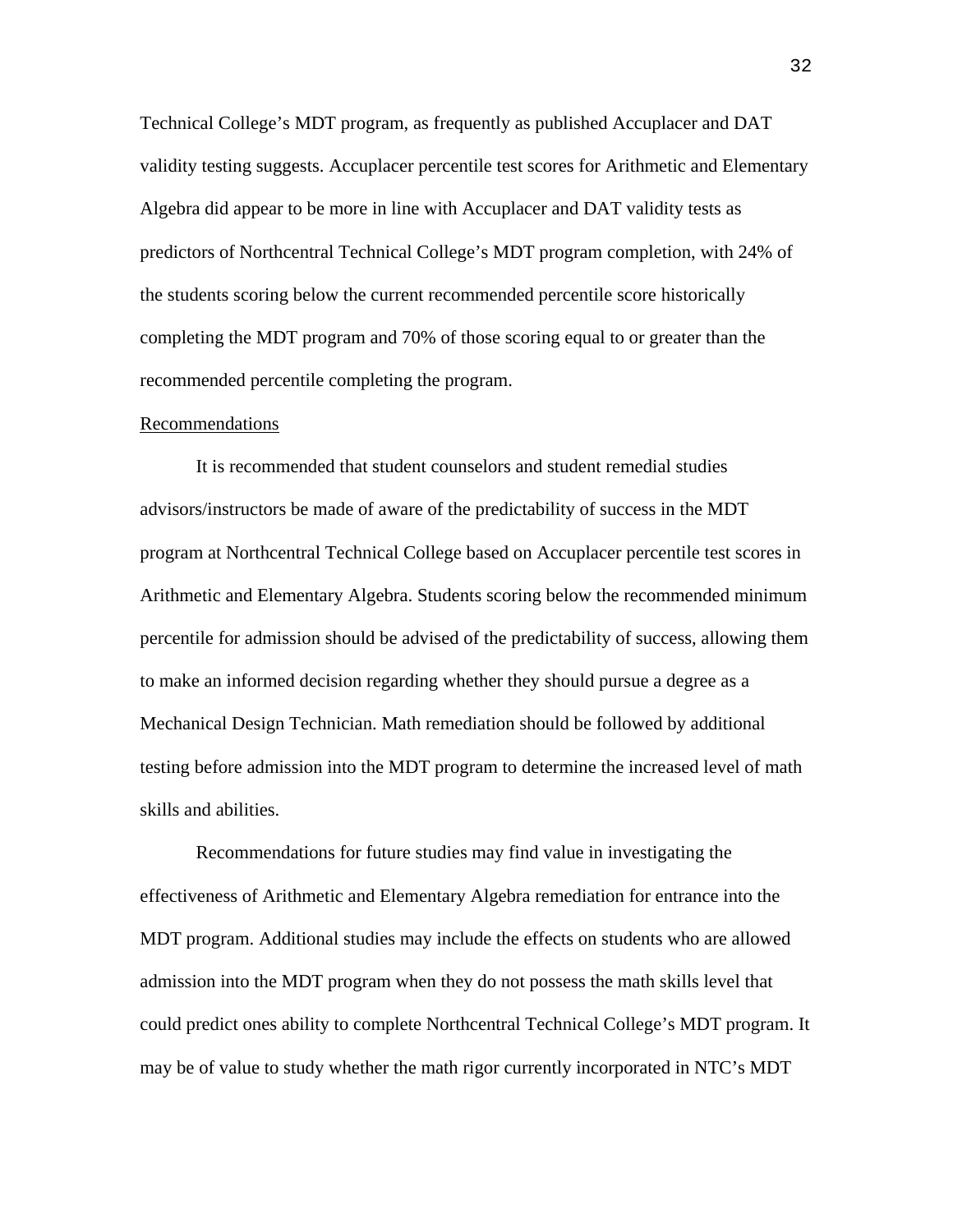Technical College's MDT program, as frequently as published Accuplacer and DAT validity testing suggests. Accuplacer percentile test scores for Arithmetic and Elementary Algebra did appear to be more in line with Accuplacer and DAT validity tests as predictors of Northcentral Technical College's MDT program completion, with 24% of the students scoring below the current recommended percentile score historically completing the MDT program and 70% of those scoring equal to or greater than the recommended percentile completing the program.

#### Recommendations

It is recommended that student counselors and student remedial studies advisors/instructors be made of aware of the predictability of success in the MDT program at Northcentral Technical College based on Accuplacer percentile test scores in Arithmetic and Elementary Algebra. Students scoring below the recommended minimum percentile for admission should be advised of the predictability of success, allowing them to make an informed decision regarding whether they should pursue a degree as a Mechanical Design Technician. Math remediation should be followed by additional testing before admission into the MDT program to determine the increased level of math skills and abilities.

Recommendations for future studies may find value in investigating the effectiveness of Arithmetic and Elementary Algebra remediation for entrance into the MDT program. Additional studies may include the effects on students who are allowed admission into the MDT program when they do not possess the math skills level that could predict ones ability to complete Northcentral Technical College's MDT program. It may be of value to study whether the math rigor currently incorporated in NTC's MDT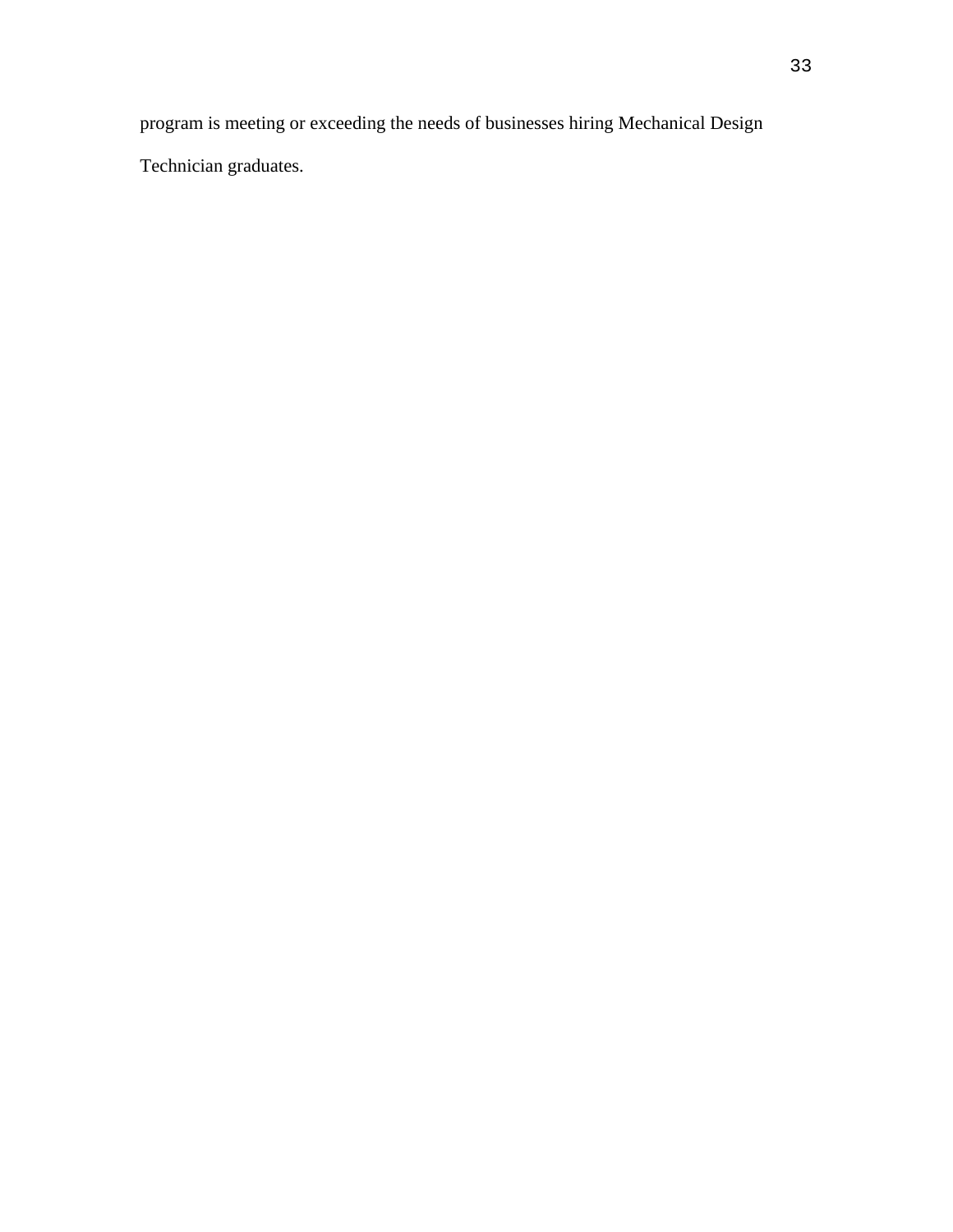program is meeting or exceeding the needs of businesses hiring Mechanical Design

Technician graduates.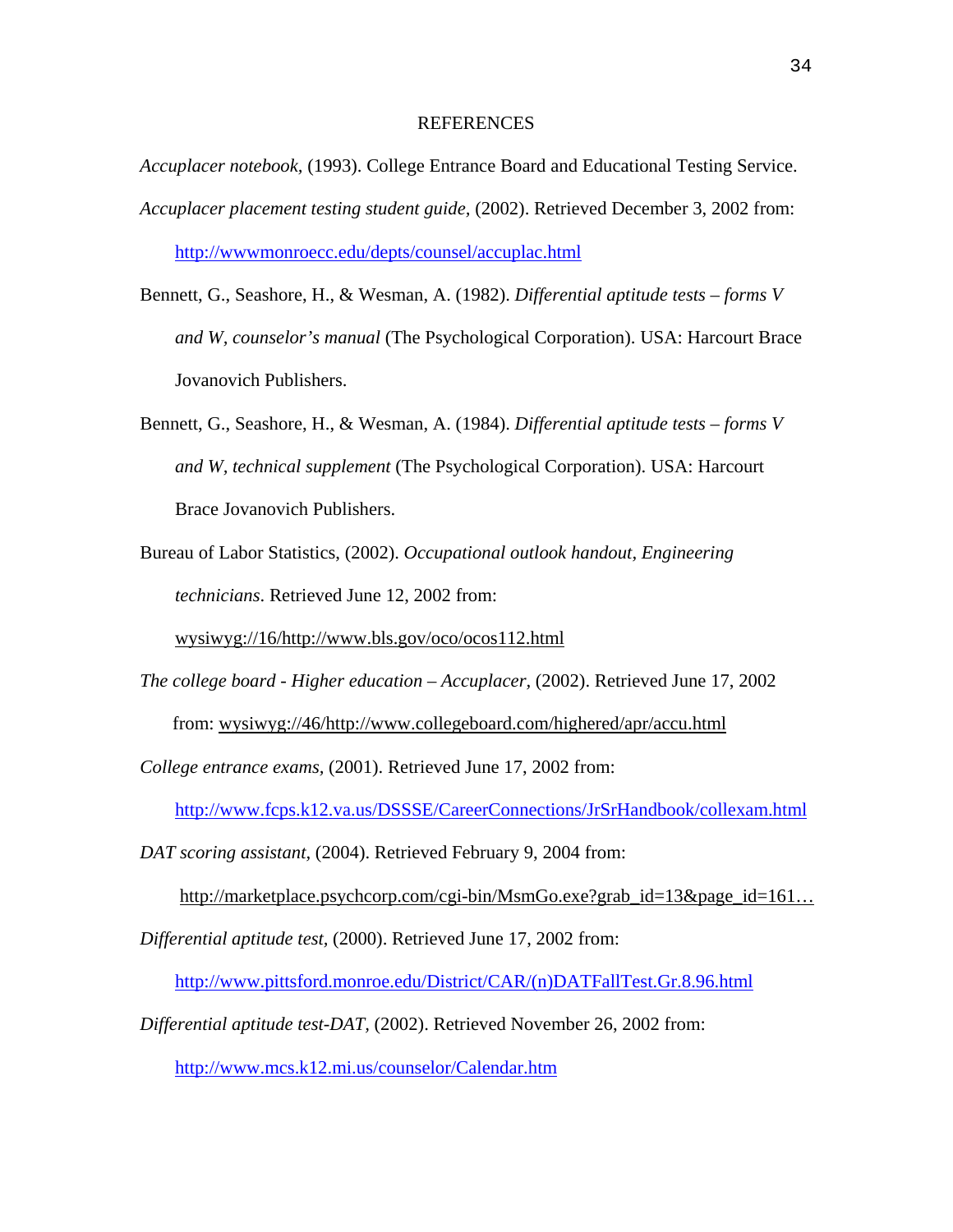#### REFERENCES

*Accuplacer notebook,* (1993). College Entrance Board and Educational Testing Service. *Accuplacer placement testing student guide,* (2002). Retrieved December 3, 2002 from: <http://wwwmonroecc.edu/depts/counsel/accuplac.html>

- Bennett, G., Seashore, H., & Wesman, A. (1982). *Differential aptitude tests forms V and W, counselor's manual* (The Psychological Corporation). USA: Harcourt Brace Jovanovich Publishers.
- Bennett, G., Seashore, H., & Wesman, A. (1984). *Differential aptitude tests forms V and W, technical supplement* (The Psychological Corporation). USA: Harcourt Brace Jovanovich Publishers.
- Bureau of Labor Statistics, (2002). *Occupational outlook handout, Engineering technicians*. Retrieved June 12, 2002 from:

wysiwyg://16/http://www.bls.gov/oco/ocos112.html

*The college board - Higher education – Accuplacer,* (2002). Retrieved June 17, 2002 from: wysiwyg://46/http://www.collegeboard.com/highered/apr/accu.html

*College entrance exams,* (2001). Retrieved June 17, 2002 from:

<http://www.fcps.k12.va.us/DSSSE/CareerConnections/JrSrHandbook/collexam.html>

*DAT scoring assistant,* (2004). Retrieved February 9, 2004 from:

http://marketplace.psychcorp.com/cgi-bin/MsmGo.exe?grab\_id=13&page\_id=161…

*Differential aptitude test,* (2000). Retrieved June 17, 2002 from:

[http://www.pittsford.monroe.edu/District/CAR/\(n\)DATFallTest.Gr.8.96.html](http://www.pittsford.monroe.edu/District/CAR/(n)DATFallTest.Gr.8.96.html)

*Differential aptitude test-DAT,* (2002). Retrieved November 26, 2002 from:

<http://www.mcs.k12.mi.us/counselor/Calendar.htm>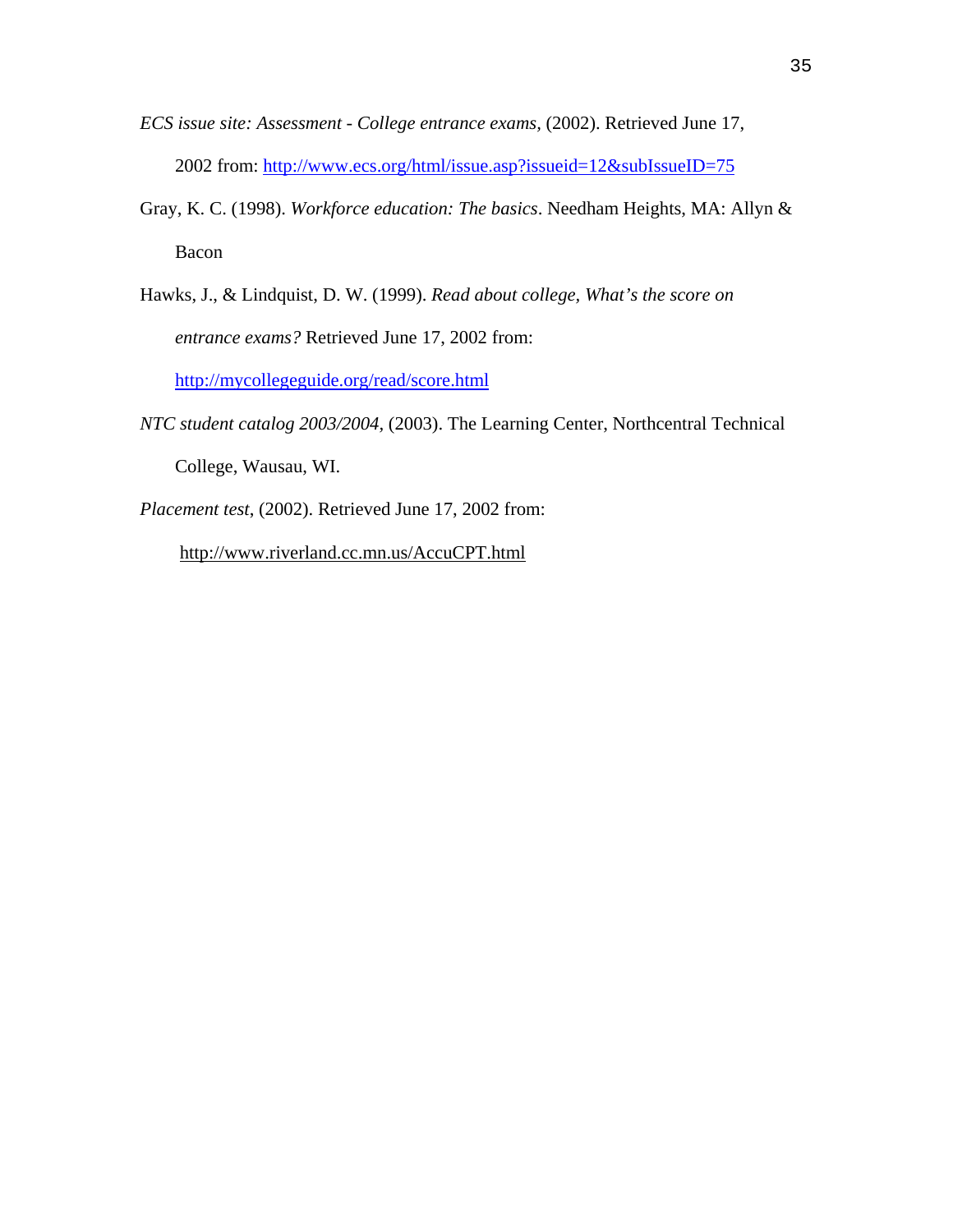- *ECS issue site: Assessment College entrance exams,* (2002). Retrieved June 17, 2002 from:<http://www.ecs.org/html/issue.asp?issueid=12&subIssueID=75>
- Gray, K. C. (1998). *Workforce education: The basics*. Needham Heights, MA: Allyn & Bacon
- Hawks, J., & Lindquist, D. W. (1999). *Read about college, What's the score on entrance exams?* Retrieved June 17, 2002 from: <http://mycollegeguide.org/read/score.html>
- *NTC student catalog 2003/2004,* (2003). The Learning Center, Northcentral Technical College, Wausau, WI.

*Placement test*, (2002). Retrieved June 17, 2002 from:

http://www.riverland.cc.mn.us/AccuCPT.html